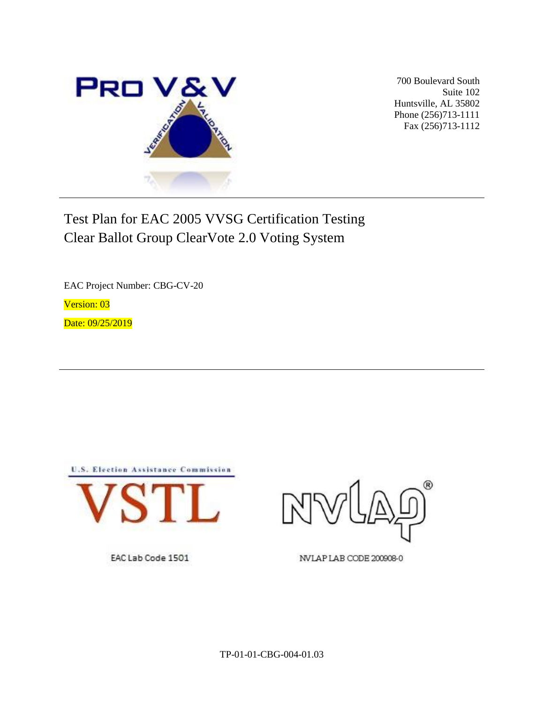

700 Boulevard South Suite 102 Huntsville, AL 35802 Phone (256)713-1111 Fax (256)713-1112

# Test Plan for EAC 2005 VVSG Certification Testing Clear Ballot Group ClearVote 2.0 Voting System

EAC Project Number: CBG-CV-20

Version: 03

Date: 09/25/2019





NVLAP LAB CODE 200908-0

EAC Lab Code 1501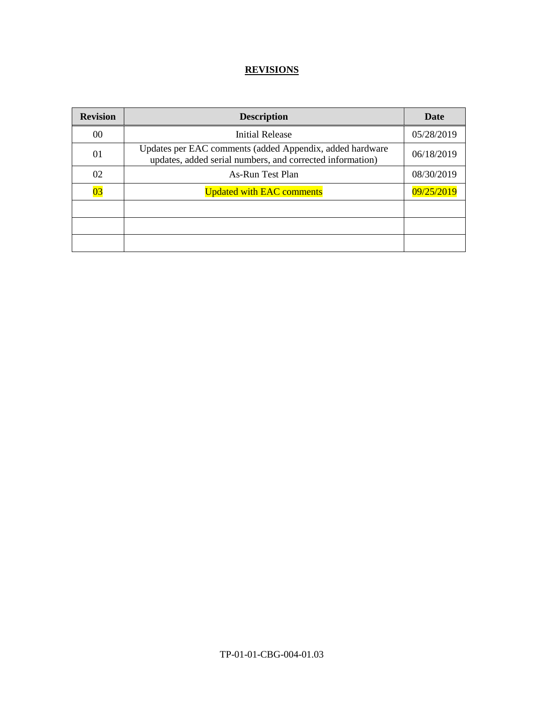## **REVISIONS**

| <b>Revision</b> | <b>Description</b>                                                                                                    | Date       |
|-----------------|-----------------------------------------------------------------------------------------------------------------------|------------|
| 00              | <b>Initial Release</b>                                                                                                | 05/28/2019 |
| 01              | Updates per EAC comments (added Appendix, added hardware<br>updates, added serial numbers, and corrected information) | 06/18/2019 |
| 02              | As-Run Test Plan                                                                                                      | 08/30/2019 |
| $\overline{03}$ | <b>Updated with EAC comments</b>                                                                                      | 09/25/2019 |
|                 |                                                                                                                       |            |
|                 |                                                                                                                       |            |
|                 |                                                                                                                       |            |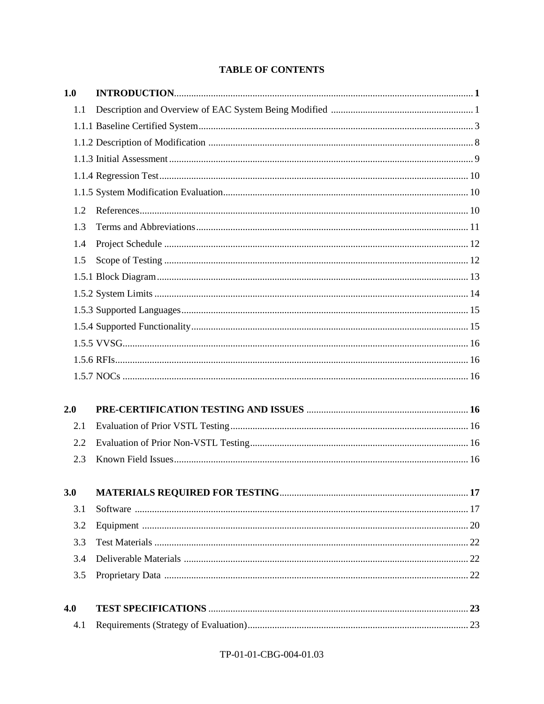## **TABLE OF CONTENTS**

| 1.0 |  |
|-----|--|
| 1.1 |  |
|     |  |
|     |  |
|     |  |
|     |  |
|     |  |
| 1.2 |  |
| 1.3 |  |
| 1.4 |  |
| 1.5 |  |
|     |  |
|     |  |
|     |  |
|     |  |
|     |  |
|     |  |
|     |  |
| 2.0 |  |
| 2.1 |  |
| 2.2 |  |
| 2.3 |  |
| 3.0 |  |
| 3.1 |  |
| 3.2 |  |
| 3.3 |  |
| 3.4 |  |
| 3.5 |  |
| 4.0 |  |
| 4.1 |  |

## TP-01-01-CBG-004-01.03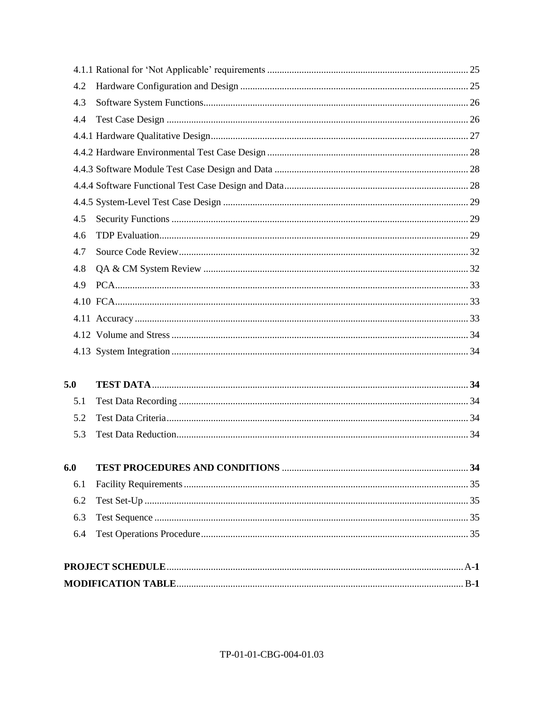| 4.2 |  |
|-----|--|
| 4.3 |  |
| 4.4 |  |
|     |  |
|     |  |
|     |  |
|     |  |
|     |  |
| 4.5 |  |
| 4.6 |  |
| 4.7 |  |
| 4.8 |  |
| 4.9 |  |
|     |  |
|     |  |
|     |  |
|     |  |
| 5.0 |  |
| 5.1 |  |
| 5.2 |  |
| 5.3 |  |
| 6.0 |  |
| 6.1 |  |
| 6.2 |  |
| 6.3 |  |
| 6.4 |  |
|     |  |
|     |  |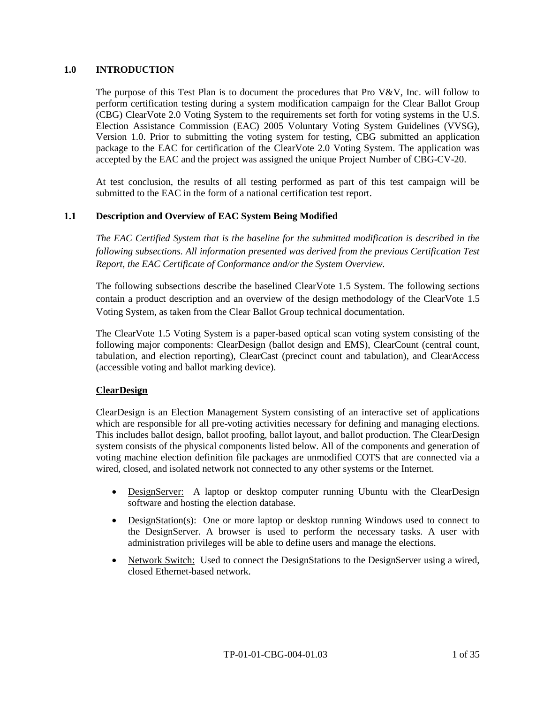## **1.0 INTRODUCTION**

The purpose of this Test Plan is to document the procedures that Pro  $V\&V$ , Inc. will follow to perform certification testing during a system modification campaign for the Clear Ballot Group (CBG) ClearVote 2.0 Voting System to the requirements set forth for voting systems in the U.S. Election Assistance Commission (EAC) 2005 Voluntary Voting System Guidelines (VVSG), Version 1.0. Prior to submitting the voting system for testing, CBG submitted an application package to the EAC for certification of the ClearVote 2.0 Voting System. The application was accepted by the EAC and the project was assigned the unique Project Number of CBG-CV-20.

At test conclusion, the results of all testing performed as part of this test campaign will be submitted to the EAC in the form of a national certification test report.

#### **1.1 Description and Overview of EAC System Being Modified**

*The EAC Certified System that is the baseline for the submitted modification is described in the following subsections. All information presented was derived from the previous Certification Test Report, the EAC Certificate of Conformance and/or the System Overview.*

The following subsections describe the baselined ClearVote 1.5 System. The following sections contain a product description and an overview of the design methodology of the ClearVote 1.5 Voting System, as taken from the Clear Ballot Group technical documentation.

The ClearVote 1.5 Voting System is a paper-based optical scan voting system consisting of the following major components: ClearDesign (ballot design and EMS), ClearCount (central count, tabulation, and election reporting), ClearCast (precinct count and tabulation), and ClearAccess (accessible voting and ballot marking device).

#### **ClearDesign**

ClearDesign is an Election Management System consisting of an interactive set of applications which are responsible for all pre-voting activities necessary for defining and managing elections. This includes ballot design, ballot proofing, ballot layout, and ballot production. The ClearDesign system consists of the physical components listed below. All of the components and generation of voting machine election definition file packages are unmodified COTS that are connected via a wired, closed, and isolated network not connected to any other systems or the Internet.

- DesignServer: A laptop or desktop computer running Ubuntu with the ClearDesign software and hosting the election database.
- DesignStation(s): One or more laptop or desktop running Windows used to connect to the DesignServer. A browser is used to perform the necessary tasks. A user with administration privileges will be able to define users and manage the elections.
- Network Switch: Used to connect the DesignStations to the DesignServer using a wired, closed Ethernet-based network.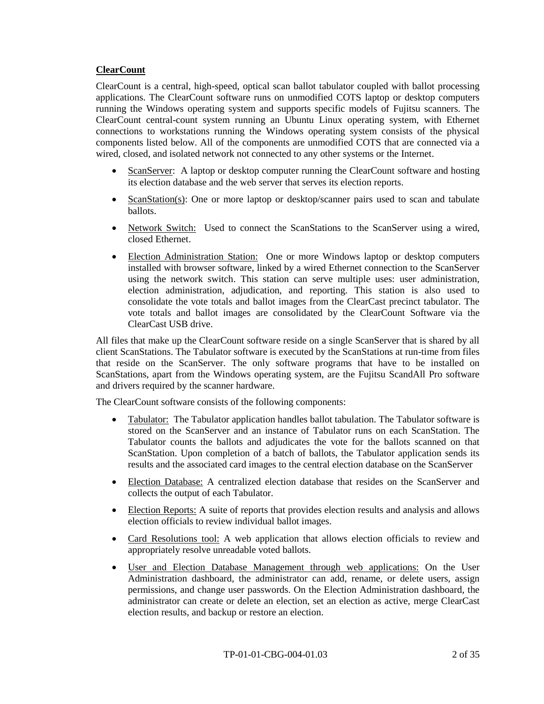## **ClearCount**

ClearCount is a central, high-speed, optical scan ballot tabulator coupled with ballot processing applications. The ClearCount software runs on unmodified COTS laptop or desktop computers running the Windows operating system and supports specific models of Fujitsu scanners. The ClearCount central-count system running an Ubuntu Linux operating system, with Ethernet connections to workstations running the Windows operating system consists of the physical components listed below. All of the components are unmodified COTS that are connected via a wired, closed, and isolated network not connected to any other systems or the Internet.

- ScanServer: A laptop or desktop computer running the ClearCount software and hosting its election database and the web server that serves its election reports.
- ScanStation(s): One or more laptop or desktop/scanner pairs used to scan and tabulate ballots.
- Network Switch: Used to connect the ScanStations to the ScanServer using a wired, closed Ethernet.
- Election Administration Station: One or more Windows laptop or desktop computers installed with browser software, linked by a wired Ethernet connection to the ScanServer using the network switch. This station can serve multiple uses: user administration, election administration, adjudication, and reporting. This station is also used to consolidate the vote totals and ballot images from the ClearCast precinct tabulator. The vote totals and ballot images are consolidated by the ClearCount Software via the ClearCast USB drive.

All files that make up the ClearCount software reside on a single ScanServer that is shared by all client ScanStations. The Tabulator software is executed by the ScanStations at run-time from files that reside on the ScanServer. The only software programs that have to be installed on ScanStations, apart from the Windows operating system, are the Fujitsu ScandAll Pro software and drivers required by the scanner hardware.

The ClearCount software consists of the following components:

- Tabulator: The Tabulator application handles ballot tabulation. The Tabulator software is stored on the ScanServer and an instance of Tabulator runs on each ScanStation. The Tabulator counts the ballots and adjudicates the vote for the ballots scanned on that ScanStation. Upon completion of a batch of ballots, the Tabulator application sends its results and the associated card images to the central election database on the ScanServer
- Election Database: A centralized election database that resides on the ScanServer and collects the output of each Tabulator.
- Election Reports: A suite of reports that provides election results and analysis and allows election officials to review individual ballot images.
- Card Resolutions tool: A web application that allows election officials to review and appropriately resolve unreadable voted ballots.
- User and Election Database Management through web applications: On the User Administration dashboard, the administrator can add, rename, or delete users, assign permissions, and change user passwords. On the Election Administration dashboard, the administrator can create or delete an election, set an election as active, merge ClearCast election results, and backup or restore an election.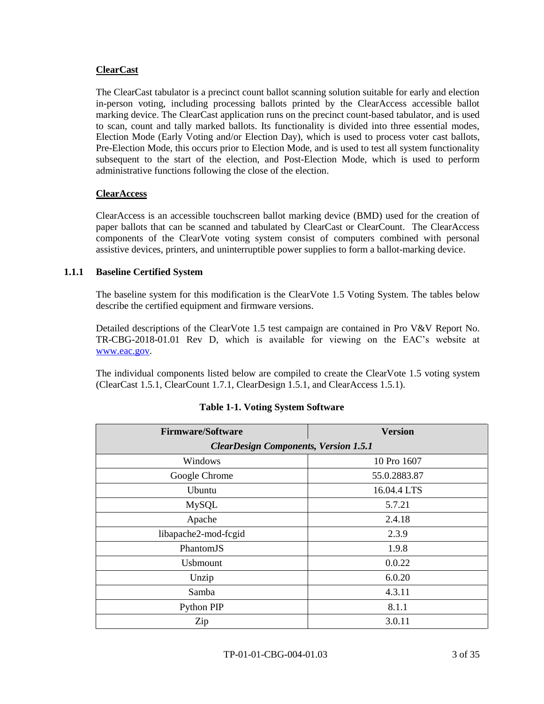## **ClearCast**

The ClearCast tabulator is a precinct count ballot scanning solution suitable for early and election in-person voting, including processing ballots printed by the ClearAccess accessible ballot marking device. The ClearCast application runs on the precinct count-based tabulator, and is used to scan, count and tally marked ballots. Its functionality is divided into three essential modes, Election Mode (Early Voting and/or Election Day), which is used to process voter cast ballots, Pre-Election Mode, this occurs prior to Election Mode, and is used to test all system functionality subsequent to the start of the election, and Post-Election Mode, which is used to perform administrative functions following the close of the election.

#### **ClearAccess**

ClearAccess is an accessible touchscreen ballot marking device (BMD) used for the creation of paper ballots that can be scanned and tabulated by ClearCast or ClearCount. The ClearAccess components of the ClearVote voting system consist of computers combined with personal assistive devices, printers, and uninterruptible power supplies to form a ballot-marking device.

#### **1.1.1 Baseline Certified System**

The baseline system for this modification is the ClearVote 1.5 Voting System. The tables below describe the certified equipment and firmware versions.

Detailed descriptions of the ClearVote 1.5 test campaign are contained in Pro V&V Report No. TR-CBG-2018-01.01 Rev D, which is available for viewing on the EAC's website at [www.eac.gov.](http://www.eac.gov/)

The individual components listed below are compiled to create the ClearVote 1.5 voting system (ClearCast 1.5.1, ClearCount 1.7.1, ClearDesign 1.5.1, and ClearAccess 1.5.1).

| <b>Firmware/Software</b>                     | <b>Version</b> |  |  |
|----------------------------------------------|----------------|--|--|
| <b>ClearDesign Components, Version 1.5.1</b> |                |  |  |
| Windows                                      | 10 Pro 1607    |  |  |
| Google Chrome                                | 55.0.2883.87   |  |  |
| Ubuntu                                       | 16.04.4 LTS    |  |  |
| <b>MySQL</b>                                 | 5.7.21         |  |  |
| Apache                                       | 2.4.18         |  |  |
| libapache2-mod-fcgid                         | 2.3.9          |  |  |
| PhantomJS                                    | 1.9.8          |  |  |
| <b>U</b> sbmount                             | 0.0.22         |  |  |
| Unzip                                        | 6.0.20         |  |  |
| Samba                                        | 4.3.11         |  |  |
| Python PIP                                   | 8.1.1          |  |  |
| Zip                                          | 3.0.11         |  |  |

## **Table 1-1. Voting System Software**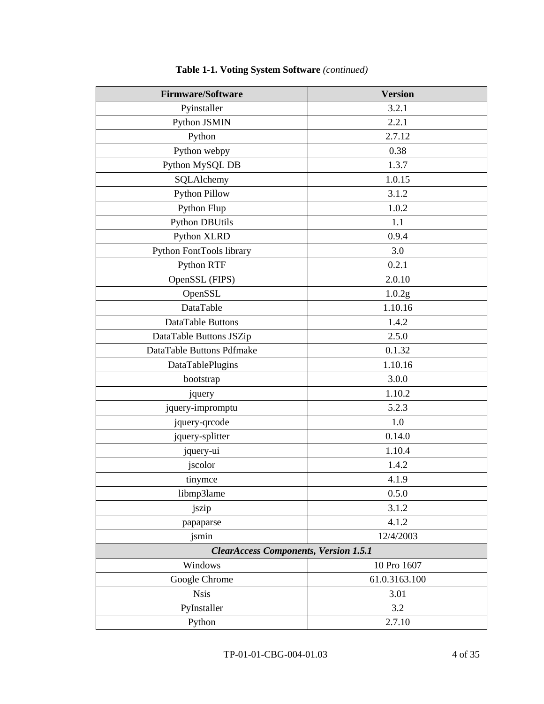| <b>Firmware/Software</b>                     | <b>Version</b> |  |  |
|----------------------------------------------|----------------|--|--|
| Pyinstaller                                  | 3.2.1          |  |  |
| Python JSMIN                                 | 2.2.1          |  |  |
| Python                                       | 2.7.12         |  |  |
| Python webpy                                 | 0.38           |  |  |
| Python MySQL DB                              | 1.3.7          |  |  |
| SQLAlchemy                                   | 1.0.15         |  |  |
| <b>Python Pillow</b>                         | 3.1.2          |  |  |
| Python Flup                                  | 1.0.2          |  |  |
| <b>Python DBUtils</b>                        | 1.1            |  |  |
| Python XLRD                                  | 0.9.4          |  |  |
| Python FontTools library                     | 3.0            |  |  |
| Python RTF                                   | 0.2.1          |  |  |
| OpenSSL (FIPS)                               | 2.0.10         |  |  |
| OpenSSL                                      | 1.0.2g         |  |  |
| DataTable                                    | 1.10.16        |  |  |
| DataTable Buttons                            | 1.4.2          |  |  |
| DataTable Buttons JSZip                      | 2.5.0          |  |  |
| DataTable Buttons Pdfmake                    | 0.1.32         |  |  |
| DataTablePlugins                             | 1.10.16        |  |  |
| bootstrap                                    | 3.0.0          |  |  |
| jquery                                       | 1.10.2         |  |  |
| jquery-impromptu                             | 5.2.3          |  |  |
| jquery-qrcode                                | 1.0            |  |  |
| jquery-splitter                              | 0.14.0         |  |  |
| jquery-ui                                    | 1.10.4         |  |  |
| jscolor                                      | 1.4.2          |  |  |
| tinymce                                      | 4.1.9          |  |  |
| libmp3lame                                   | 0.5.0          |  |  |
| jszip                                        | 3.1.2          |  |  |
| papaparse                                    | 4.1.2          |  |  |
| jsmin                                        | 12/4/2003      |  |  |
| <b>ClearAccess Components, Version 1.5.1</b> |                |  |  |
| Windows                                      | 10 Pro 1607    |  |  |
| Google Chrome                                | 61.0.3163.100  |  |  |
| <b>Nsis</b>                                  | 3.01           |  |  |
| PyInstaller                                  | 3.2            |  |  |
| Python                                       | 2.7.10         |  |  |

## **Table 1-1. Voting System Software** *(continued)*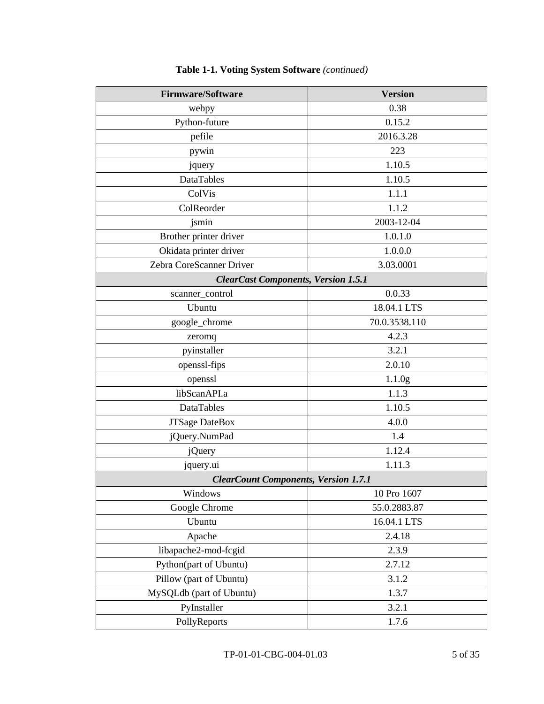| <b>Firmware/Software</b>                    | <b>Version</b>     |  |  |
|---------------------------------------------|--------------------|--|--|
| webpy                                       | 0.38               |  |  |
| Python-future                               | 0.15.2             |  |  |
| pefile                                      | 2016.3.28          |  |  |
| pywin                                       | 223                |  |  |
| jquery                                      | 1.10.5             |  |  |
| <b>DataTables</b>                           | 1.10.5             |  |  |
| ColVis                                      | 1.1.1              |  |  |
| ColReorder                                  | 1.1.2              |  |  |
| jsmin                                       | 2003-12-04         |  |  |
| Brother printer driver                      | 1.0.1.0            |  |  |
| Okidata printer driver                      | 1.0.0.0            |  |  |
| Zebra CoreScanner Driver                    | 3.03.0001          |  |  |
| <b>ClearCast Components, Version 1.5.1</b>  |                    |  |  |
| scanner_control                             | 0.0.33             |  |  |
| Ubuntu                                      | 18.04.1 LTS        |  |  |
| google_chrome                               | 70.0.3538.110      |  |  |
| zeromq                                      | 4.2.3              |  |  |
| pyinstaller                                 | 3.2.1              |  |  |
| openssl-fips                                | 2.0.10             |  |  |
| openssl                                     | 1.1.0 <sub>g</sub> |  |  |
| libScanAPI.a                                | 1.1.3              |  |  |
| DataTables                                  | 1.10.5             |  |  |
| <b>JTSage DateBox</b>                       | 4.0.0              |  |  |
| jQuery.NumPad                               | 1.4                |  |  |
| <i>j</i> Query                              | 1.12.4             |  |  |
| jquery.ui                                   | 1.11.3             |  |  |
| <b>ClearCount Components, Version 1.7.1</b> |                    |  |  |
| Windows                                     | 10 Pro 1607        |  |  |
| Google Chrome                               | 55.0.2883.87       |  |  |
| Ubuntu                                      | 16.04.1 LTS        |  |  |
| Apache                                      | 2.4.18             |  |  |
| libapache2-mod-fcgid                        | 2.3.9              |  |  |
| Python(part of Ubuntu)                      | 2.7.12             |  |  |
| Pillow (part of Ubuntu)                     | 3.1.2              |  |  |
| MySQLdb (part of Ubuntu)                    | 1.3.7              |  |  |
| PyInstaller                                 | 3.2.1              |  |  |
| PollyReports                                | 1.7.6              |  |  |

## **Table 1-1. Voting System Software** *(continued)*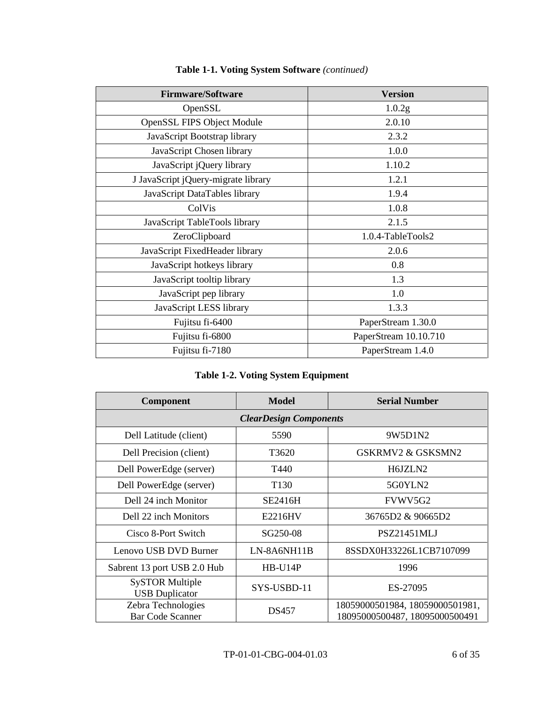| <b>Firmware/Software</b>            | <b>Version</b>        |
|-------------------------------------|-----------------------|
| OpenSSL                             | 1.0.2g                |
| <b>OpenSSL FIPS Object Module</b>   | 2.0.10                |
| JavaScript Bootstrap library        | 2.3.2                 |
| JavaScript Chosen library           | 1.0.0                 |
| JavaScript jQuery library           | 1.10.2                |
| J JavaScript jQuery-migrate library | 1.2.1                 |
| JavaScript DataTables library       | 1.9.4                 |
| ColVis                              | 1.0.8                 |
| JavaScript TableTools library       | 2.1.5                 |
| ZeroClipboard                       | 1.0.4-TableTools2     |
| JavaScript FixedHeader library      | 2.0.6                 |
| JavaScript hotkeys library          | 0.8                   |
| JavaScript tooltip library          | 1.3                   |
| JavaScript pep library              | 1.0                   |
| JavaScript LESS library             | 1.3.3                 |
| Fujitsu fi-6400                     | PaperStream 1.30.0    |
| Fujitsu fi-6800                     | PaperStream 10.10.710 |
| Fujitsu fi-7180                     | PaperStream 1.4.0     |

## **Table 1-1. Voting System Software** *(continued)*

|  | <b>Table 1-2. Voting System Equipment</b> |  |
|--|-------------------------------------------|--|
|  |                                           |  |

| Component                                       | <b>Model</b>     | <b>Serial Number</b>                                              |  |  |
|-------------------------------------------------|------------------|-------------------------------------------------------------------|--|--|
| <b>ClearDesign Components</b>                   |                  |                                                                   |  |  |
| Dell Latitude (client)                          | 5590             | 9W5D1N2                                                           |  |  |
| Dell Precision (client)                         | T3620            | GSKRMV2 & GSKSMN2                                                 |  |  |
| Dell PowerEdge (server)                         | T440             | H6JZLN2                                                           |  |  |
| Dell PowerEdge (server)                         | T <sub>130</sub> | 5G0YLN2                                                           |  |  |
| Dell 24 inch Monitor                            | SE2416H          | FVWV5G2                                                           |  |  |
| Dell 22 inch Monitors                           | E2216HV          | 36765D2 & 90665D2                                                 |  |  |
| Cisco 8-Port Switch                             | SG250-08         | <b>PSZ21451MLJ</b>                                                |  |  |
| Lenovo USB DVD Burner                           | $LN-8A6NH11B$    | 8SSDX0H33226L1CB7107099                                           |  |  |
| Sabrent 13 port USB 2.0 Hub                     | HB-U14P          | 1996                                                              |  |  |
| <b>SySTOR Multiple</b><br><b>USB</b> Duplicator | SYS-USBD-11      | ES-27095                                                          |  |  |
| Zebra Technologies<br><b>Bar Code Scanner</b>   | <b>DS457</b>     | 18059000501984, 18059000501981,<br>18095000500487, 18095000500491 |  |  |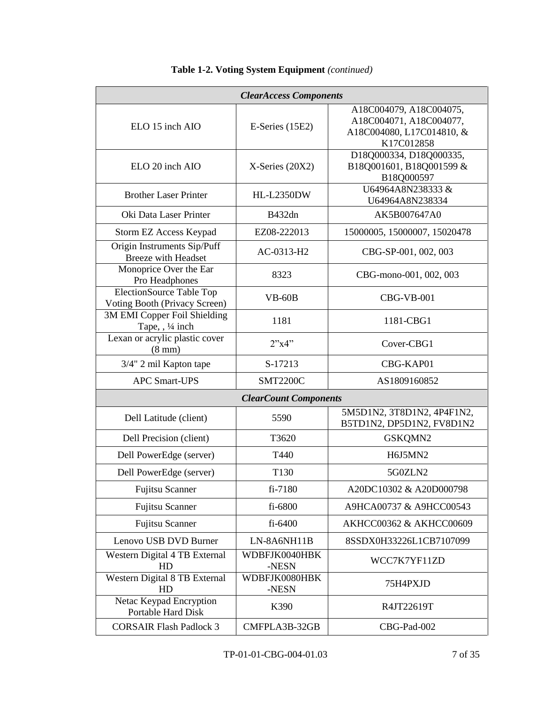| <b>ClearAccess Components</b>                                    |                              |                                                                                               |  |
|------------------------------------------------------------------|------------------------------|-----------------------------------------------------------------------------------------------|--|
| ELO 15 inch AIO                                                  | $E\text{-Series}$ (15E2)     | A18C004079, A18C004075,<br>A18C004071, A18C004077,<br>A18C004080, L17C014810, &<br>K17C012858 |  |
| ELO 20 inch AIO                                                  | $X$ -Series (20X2)           | D18Q000334, D18Q000335,<br>B18Q001601, B18Q001599 &<br>B18Q000597                             |  |
| <b>Brother Laser Printer</b>                                     | <b>HL-L2350DW</b>            | U64964A8N238333 &<br>U64964A8N238334                                                          |  |
| Oki Data Laser Printer                                           | B432dn                       | AK5B007647A0                                                                                  |  |
| Storm EZ Access Keypad                                           | EZ08-222013                  | 15000005, 15000007, 15020478                                                                  |  |
| Origin Instruments Sip/Puff<br><b>Breeze</b> with Headset        | AC-0313-H2                   | CBG-SP-001, 002, 003                                                                          |  |
| Monoprice Over the Ear<br>Pro Headphones                         | 8323                         | CBG-mono-001, 002, 003                                                                        |  |
| <b>ElectionSource Table Top</b><br>Voting Booth (Privacy Screen) | $VB-60B$                     | $CBG-VB-001$                                                                                  |  |
| 3M EMI Copper Foil Shielding<br>Tape, , 1/4 inch                 | 1181                         | 1181-CBG1                                                                                     |  |
| Lexan or acrylic plastic cover<br>$(8 \text{ mm})$               | 2"x4"                        | Cover-CBG1                                                                                    |  |
| 3/4" 2 mil Kapton tape                                           | S-17213                      | CBG-KAP01                                                                                     |  |
| <b>APC Smart-UPS</b>                                             | <b>SMT2200C</b>              | AS1809160852                                                                                  |  |
|                                                                  | <b>ClearCount Components</b> |                                                                                               |  |
| Dell Latitude (client)                                           | 5590                         | 5M5D1N2, 3T8D1N2, 4P4F1N2,<br>B5TD1N2, DP5D1N2, FV8D1N2                                       |  |
| Dell Precision (client)                                          | T3620                        | GSKQMN2                                                                                       |  |
| Dell PowerEdge (server)                                          | T440                         | H6J5MN2                                                                                       |  |
| Dell PowerEdge (server)                                          | T130                         | 5G0ZLN2                                                                                       |  |
| Fujitsu Scanner                                                  | fi-7180                      | A20DC10302 & A20D000798                                                                       |  |
| <b>Fujitsu Scanner</b>                                           | fi-6800                      | A9HCA00737 & A9HCC00543                                                                       |  |
| <b>Fujitsu Scanner</b>                                           | fi-6400                      | AKHCC00362 & AKHCC00609                                                                       |  |
| Lenovo USB DVD Burner                                            | LN-8A6NH11B                  | 8SSDX0H33226L1CB7107099                                                                       |  |
| Western Digital 4 TB External<br>HD                              | WDBFJK0040HBK<br>-NESN       | WCC7K7YF11ZD                                                                                  |  |
| Western Digital 8 TB External<br>HD                              | WDBFJK0080HBK<br>-NESN       | 75H4PXJD                                                                                      |  |
| Netac Keypad Encryption<br>Portable Hard Disk                    | K390                         | R4JT22619T                                                                                    |  |
| <b>CORSAIR Flash Padlock 3</b>                                   | CMFPLA3B-32GB                | CBG-Pad-002                                                                                   |  |

## **Table 1-2. Voting System Equipment** *(continued)*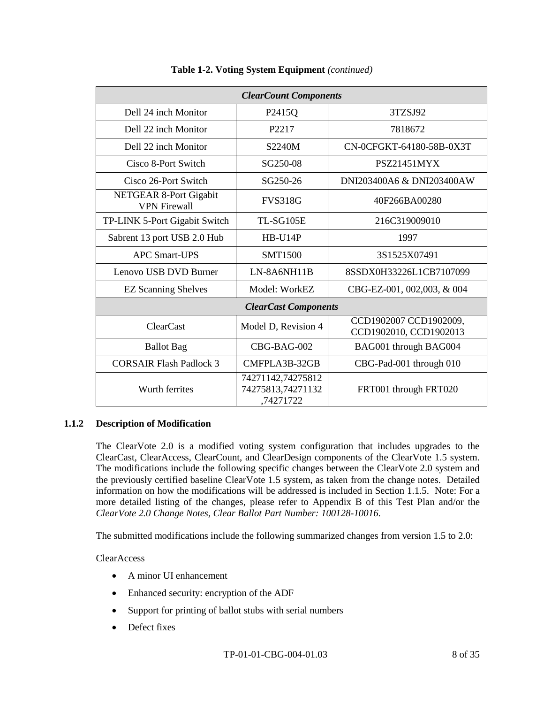| <b>ClearCount Components</b>                         |                                                     |                                                  |  |
|------------------------------------------------------|-----------------------------------------------------|--------------------------------------------------|--|
| Dell 24 inch Monitor                                 | P <sub>2415</sub> Q                                 | 3TZSJ92                                          |  |
| Dell 22 inch Monitor                                 | P2217                                               | 7818672                                          |  |
| Dell 22 inch Monitor                                 | S2240M                                              | CN-0CFGKT-64180-58B-0X3T                         |  |
| Cisco 8-Port Switch                                  | SG250-08                                            | <b>PSZ21451MYX</b>                               |  |
| Cisco 26-Port Switch                                 | SG250-26                                            | DNI203400A6 & DNI203400AW                        |  |
| <b>NETGEAR 8-Port Gigabit</b><br><b>VPN</b> Firewall | <b>FVS318G</b>                                      | 40F266BA00280                                    |  |
| TP-LINK 5-Port Gigabit Switch                        | TL-SG105E                                           | 216C319009010                                    |  |
| Sabrent 13 port USB 2.0 Hub                          | $HB-U14P$                                           | 1997                                             |  |
| <b>APC Smart-UPS</b>                                 | <b>SMT1500</b>                                      | 3S1525X07491                                     |  |
| Lenovo USB DVD Burner                                | LN-8A6NH11B                                         | 8SSDX0H33226L1CB7107099                          |  |
| <b>EZ Scanning Shelves</b>                           | Model: WorkEZ                                       | CBG-EZ-001, 002,003, & 004                       |  |
| <b>ClearCast Components</b>                          |                                                     |                                                  |  |
| <b>ClearCast</b>                                     | Model D, Revision 4                                 | CCD1902007 CCD1902009,<br>CCD1902010, CCD1902013 |  |
| <b>Ballot</b> Bag                                    | CBG-BAG-002                                         | BAG001 through BAG004                            |  |
| <b>CORSAIR Flash Padlock 3</b>                       | CMFPLA3B-32GB                                       | CBG-Pad-001 through 010                          |  |
| Wurth ferrites                                       | 74271142,74275812<br>74275813,74271132<br>,74271722 | FRT001 through FRT020                            |  |

## **Table 1-2. Voting System Equipment** *(continued)*

## **1.1.2 Description of Modification**

The ClearVote 2.0 is a modified voting system configuration that includes upgrades to the ClearCast, ClearAccess, ClearCount, and ClearDesign components of the ClearVote 1.5 system. The modifications include the following specific changes between the ClearVote 2.0 system and the previously certified baseline ClearVote 1.5 system, as taken from the change notes. Detailed information on how the modifications will be addressed is included in Section 1.1.5. Note: For a more detailed listing of the changes, please refer to Appendix B of this Test Plan and/or the *ClearVote 2.0 Change Notes, Clear Ballot Part Number: 100128-10016*.

The submitted modifications include the following summarized changes from version 1.5 to 2.0:

## ClearAccess

- A minor UI enhancement
- Enhanced security: encryption of the ADF
- Support for printing of ballot stubs with serial numbers
- Defect fixes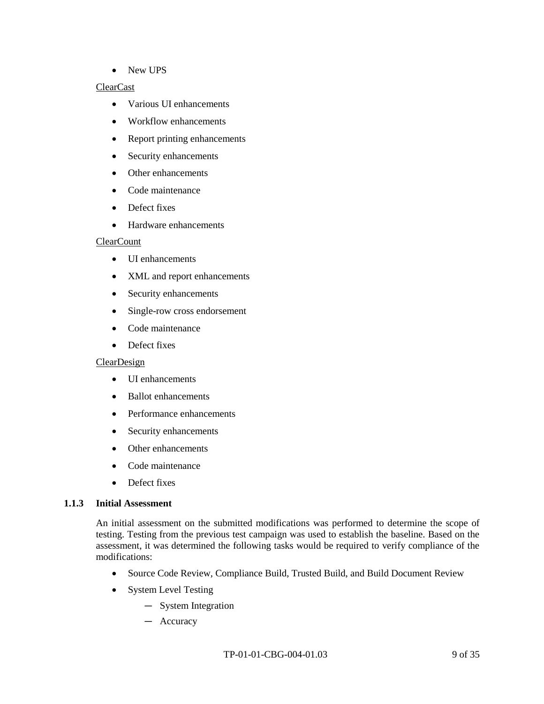• New UPS

## ClearCast

- Various UI enhancements
- Workflow enhancements
- Report printing enhancements
- Security enhancements
- Other enhancements
- Code maintenance
- Defect fixes
- Hardware enhancements

## **ClearCount**

- UI enhancements
- XML and report enhancements
- Security enhancements
- Single-row cross endorsement
- Code maintenance
- Defect fixes

## **ClearDesign**

- UI enhancements
- Ballot enhancements
- Performance enhancements
- Security enhancements
- Other enhancements
- Code maintenance
- Defect fixes

## **1.1.3 Initial Assessment**

An initial assessment on the submitted modifications was performed to determine the scope of testing. Testing from the previous test campaign was used to establish the baseline. Based on the assessment, it was determined the following tasks would be required to verify compliance of the modifications:

- Source Code Review, Compliance Build, Trusted Build, and Build Document Review
- System Level Testing
	- ― System Integration
	- ― Accuracy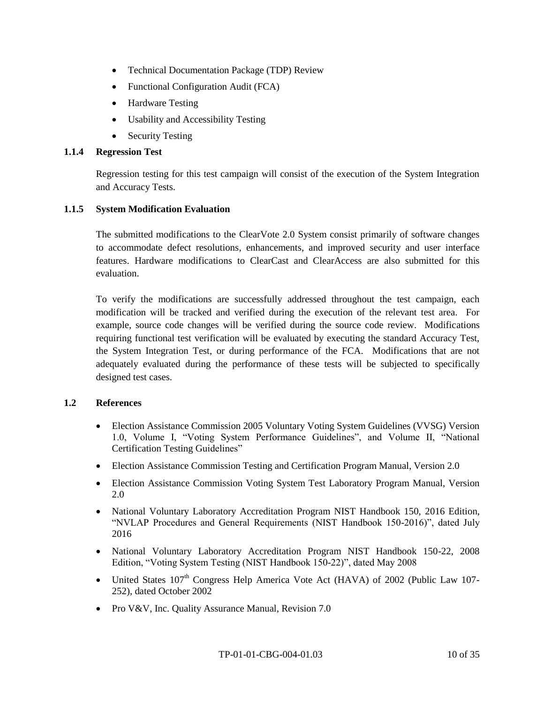- Technical Documentation Package (TDP) Review
- Functional Configuration Audit (FCA)
- Hardware Testing
- Usability and Accessibility Testing
- Security Testing

## **1.1.4 Regression Test**

Regression testing for this test campaign will consist of the execution of the System Integration and Accuracy Tests.

## **1.1.5 System Modification Evaluation**

The submitted modifications to the ClearVote 2.0 System consist primarily of software changes to accommodate defect resolutions, enhancements, and improved security and user interface features. Hardware modifications to ClearCast and ClearAccess are also submitted for this evaluation.

To verify the modifications are successfully addressed throughout the test campaign, each modification will be tracked and verified during the execution of the relevant test area. For example, source code changes will be verified during the source code review. Modifications requiring functional test verification will be evaluated by executing the standard Accuracy Test, the System Integration Test, or during performance of the FCA. Modifications that are not adequately evaluated during the performance of these tests will be subjected to specifically designed test cases.

## **1.2 References**

- Election Assistance Commission 2005 Voluntary Voting System Guidelines (VVSG) Version 1.0, Volume I, "Voting System Performance Guidelines", and Volume II, "National Certification Testing Guidelines"
- Election Assistance Commission Testing and Certification Program Manual, Version 2.0
- Election Assistance Commission Voting System Test Laboratory Program Manual, Version 2.0
- National Voluntary Laboratory Accreditation Program NIST Handbook 150, 2016 Edition, "NVLAP Procedures and General Requirements (NIST Handbook 150-2016)", dated July 2016
- National Voluntary Laboratory Accreditation Program NIST Handbook 150-22, 2008 Edition, "Voting System Testing (NIST Handbook 150-22)", dated May 2008
- United States 107<sup>th</sup> Congress Help America Vote Act (HAVA) of 2002 (Public Law 107-252), dated October 2002
- Pro V&V, Inc. Quality Assurance Manual, Revision 7.0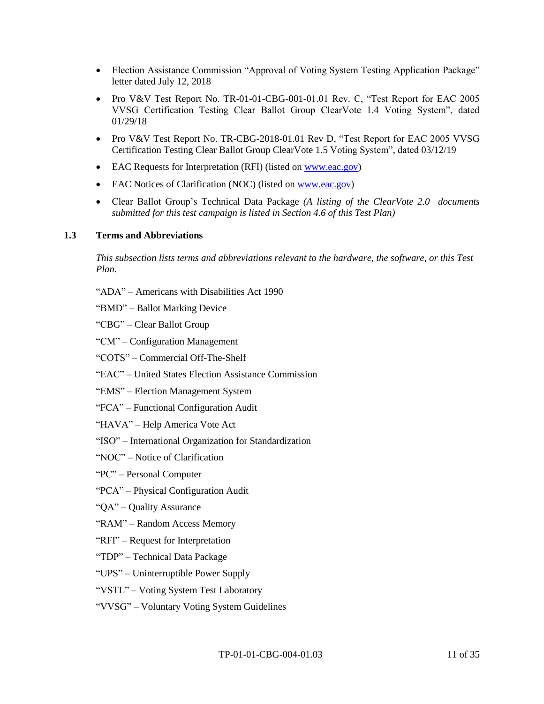- Election Assistance Commission "Approval of Voting System Testing Application Package" letter dated July 12, 2018
- Pro V&V Test Report No. TR-01-01-CBG-001-01.01 Rev. C, "Test Report for EAC 2005 VVSG Certification Testing Clear Ballot Group ClearVote 1.4 Voting System", dated 01/29/18
- Pro V&V Test Report No. TR-CBG-2018-01.01 Rev D, "Test Report for EAC 2005 VVSG Certification Testing Clear Ballot Group ClearVote 1.5 Voting System", dated 03/12/19
- EAC Requests for Interpretation (RFI) (listed on [www.eac.gov\)](http://www.eac.gov/)
- EAC Notices of Clarification (NOC) (listed o[n www.eac.gov\)](http://www.eac.gov/)
- Clear Ballot Group's Technical Data Package *(A listing of the ClearVote 2.0 documents submitted for this test campaign is listed in Section 4.6 of this Test Plan)*

## **1.3 Terms and Abbreviations**

*This subsection lists terms and abbreviations relevant to the hardware, the software, or this Test Plan.*

- "ADA" Americans with Disabilities Act 1990
- "BMD" Ballot Marking Device
- "CBG" Clear Ballot Group
- "CM" Configuration Management
- "COTS" Commercial Off-The-Shelf
- "EAC" United States Election Assistance Commission
- "EMS" Election Management System
- "FCA" Functional Configuration Audit
- "HAVA" Help America Vote Act
- "ISO" International Organization for Standardization
- "NOC" Notice of Clarification
- "PC" Personal Computer
- "PCA" Physical Configuration Audit
- "QA" Quality Assurance
- "RAM" Random Access Memory
- "RFI" Request for Interpretation
- "TDP" Technical Data Package
- "UPS" Uninterruptible Power Supply
- "VSTL" Voting System Test Laboratory
- "VVSG" Voluntary Voting System Guidelines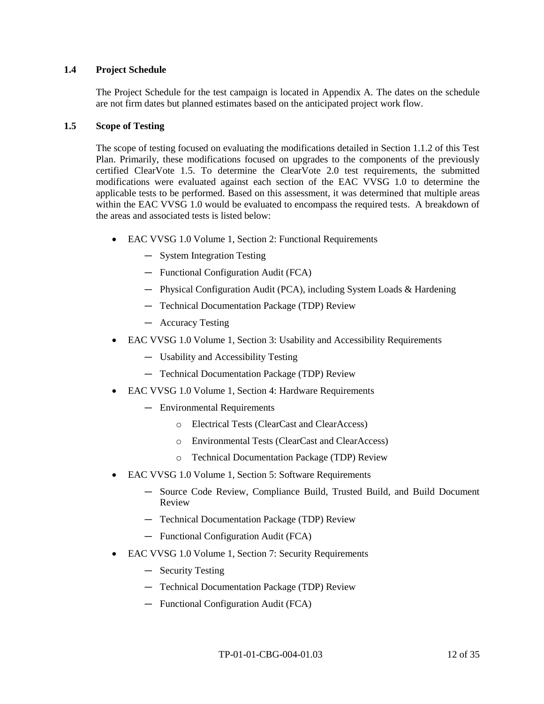## **1.4 Project Schedule**

The Project Schedule for the test campaign is located in Appendix A. The dates on the schedule are not firm dates but planned estimates based on the anticipated project work flow.

### **1.5 Scope of Testing**

The scope of testing focused on evaluating the modifications detailed in Section 1.1.2 of this Test Plan. Primarily, these modifications focused on upgrades to the components of the previously certified ClearVote 1.5. To determine the ClearVote 2.0 test requirements, the submitted modifications were evaluated against each section of the EAC VVSG 1.0 to determine the applicable tests to be performed. Based on this assessment, it was determined that multiple areas within the EAC VVSG 1.0 would be evaluated to encompass the required tests. A breakdown of the areas and associated tests is listed below:

- EAC VVSG 1.0 Volume 1, Section 2: Functional Requirements
	- ― System Integration Testing
	- ― Functional Configuration Audit (FCA)
	- ― Physical Configuration Audit (PCA), including System Loads & Hardening
	- ― Technical Documentation Package (TDP) Review
	- ― Accuracy Testing
- EAC VVSG 1.0 Volume 1, Section 3: Usability and Accessibility Requirements
	- ― Usability and Accessibility Testing
	- ― Technical Documentation Package (TDP) Review
- EAC VVSG 1.0 Volume 1, Section 4: Hardware Requirements
	- ― Environmental Requirements
		- o Electrical Tests (ClearCast and ClearAccess)
		- o Environmental Tests (ClearCast and ClearAccess)
		- o Technical Documentation Package (TDP) Review
- EAC VVSG 1.0 Volume 1, Section 5: Software Requirements
	- ― Source Code Review, Compliance Build, Trusted Build, and Build Document Review
	- ― Technical Documentation Package (TDP) Review
	- ― Functional Configuration Audit (FCA)
- EAC VVSG 1.0 Volume 1, Section 7: Security Requirements
	- ― Security Testing
	- ― Technical Documentation Package (TDP) Review
	- ― Functional Configuration Audit (FCA)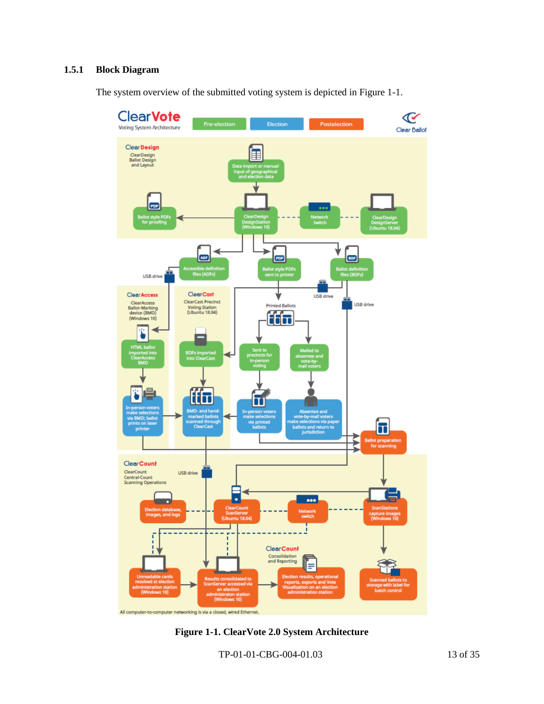## **1.5.1 Block Diagram**

The system overview of the submitted voting system is depicted in Figure 1-1.



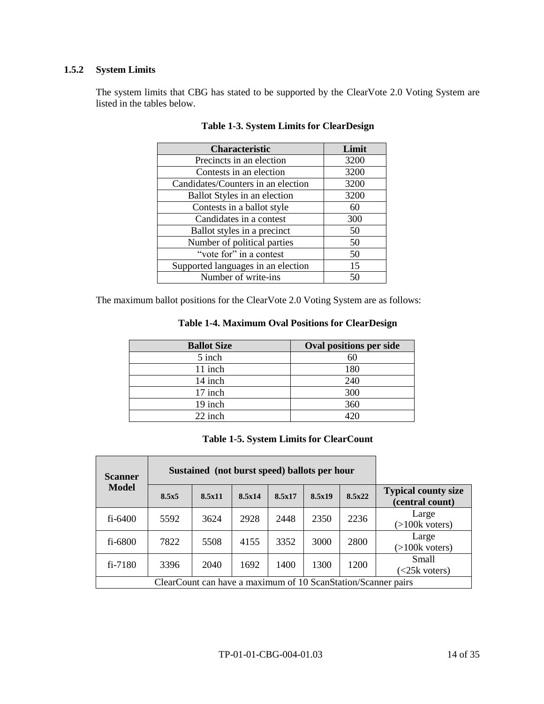## **1.5.2 System Limits**

The system limits that CBG has stated to be supported by the ClearVote 2.0 Voting System are listed in the tables below.

| <b>Characteristic</b>              | Limit |
|------------------------------------|-------|
| Precincts in an election           | 3200  |
| Contests in an election            | 3200  |
| Candidates/Counters in an election | 3200  |
| Ballot Styles in an election       | 3200  |
| Contests in a ballot style         | 60    |
| Candidates in a contest            | 300   |
| Ballot styles in a precinct        | 50    |
| Number of political parties        | 50    |
| "vote for" in a contest            | 50    |
| Supported languages in an election | 15    |
| Number of write-ins                | 50    |

## **Table 1-3. System Limits for ClearDesign**

The maximum ballot positions for the ClearVote 2.0 Voting System are as follows:

| <b>Table 1-4. Maximum Oval Positions for ClearDesign</b> |  |  |  |  |
|----------------------------------------------------------|--|--|--|--|
|----------------------------------------------------------|--|--|--|--|

| <b>Ballot Size</b> | Oval positions per side |
|--------------------|-------------------------|
| 5 inch             | 60                      |
| 11 inch            | 180                     |
| 14 inch            | 240                     |
| 17 inch            | 300                     |
| 19 inch            | 360                     |
| 22 inch            | $120 -$                 |

## **Table 1-5. System Limits for ClearCount**

| Sustained (not burst speed) ballots per hour<br><b>Scanner</b> |       |        |        |        |        |        |                                               |
|----------------------------------------------------------------|-------|--------|--------|--------|--------|--------|-----------------------------------------------|
| Model                                                          | 8.5x5 | 8.5x11 | 8.5x14 | 8.5x17 | 8.5x19 | 8.5x22 | <b>Typical county size</b><br>(central count) |
| $fi - 6400$                                                    | 5592  | 3624   | 2928   | 2448   | 2350   | 2236   | Large<br>$(>100k$ voters)                     |
| fi-6800                                                        | 7822  | 5508   | 4155   | 3352   | 3000   | 2800   | Large<br>$(>100k$ voters)                     |
| $fi - 7180$                                                    | 3396  | 2040   | 1692   | 1400   | 1300   | 1200   | Small<br>$\leq$ 25 $k$ voters)                |
| ClearCount can have a maximum of 10 ScanStation/Scanner pairs  |       |        |        |        |        |        |                                               |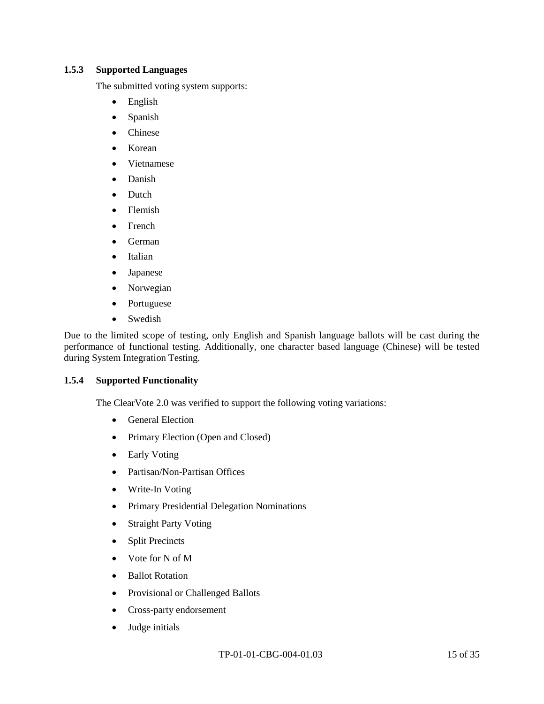### **1.5.3 Supported Languages**

The submitted voting system supports:

- English
- Spanish
- Chinese
- Korean
- Vietnamese
- Danish
- Dutch
- Flemish
- French
- German
- Italian
- Japanese
- Norwegian
- Portuguese
- Swedish

Due to the limited scope of testing, only English and Spanish language ballots will be cast during the performance of functional testing. Additionally, one character based language (Chinese) will be tested during System Integration Testing.

## **1.5.4 Supported Functionality**

The ClearVote 2.0 was verified to support the following voting variations:

- General Election
- Primary Election (Open and Closed)
- Early Voting
- Partisan/Non-Partisan Offices
- Write-In Voting
- Primary Presidential Delegation Nominations
- Straight Party Voting
- Split Precincts
- Vote for N of M
- Ballot Rotation
- Provisional or Challenged Ballots
- Cross-party endorsement
- Judge initials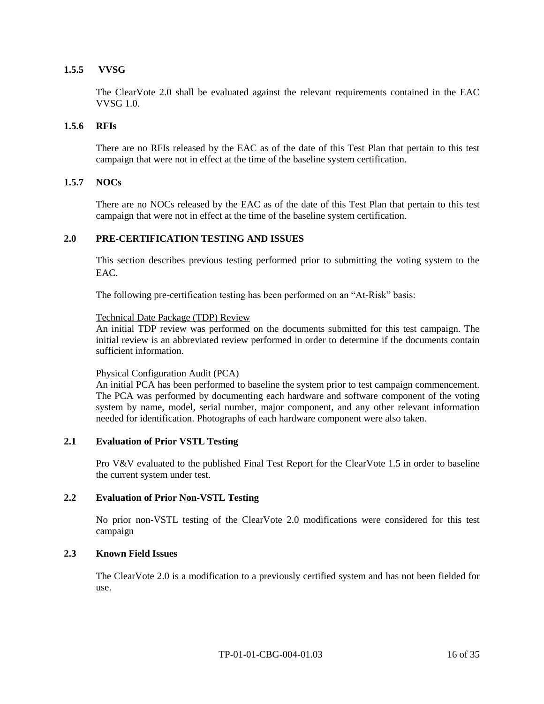## **1.5.5 VVSG**

The ClearVote 2.0 shall be evaluated against the relevant requirements contained in the EAC VVSG 1.0.

## **1.5.6 RFIs**

There are no RFIs released by the EAC as of the date of this Test Plan that pertain to this test campaign that were not in effect at the time of the baseline system certification.

## **1.5.7 NOCs**

There are no NOCs released by the EAC as of the date of this Test Plan that pertain to this test campaign that were not in effect at the time of the baseline system certification.

#### **2.0 PRE-CERTIFICATION TESTING AND ISSUES**

This section describes previous testing performed prior to submitting the voting system to the EAC.

The following pre-certification testing has been performed on an "At-Risk" basis:

#### Technical Date Package (TDP) Review

An initial TDP review was performed on the documents submitted for this test campaign. The initial review is an abbreviated review performed in order to determine if the documents contain sufficient information.

#### Physical Configuration Audit (PCA)

An initial PCA has been performed to baseline the system prior to test campaign commencement. The PCA was performed by documenting each hardware and software component of the voting system by name, model, serial number, major component, and any other relevant information needed for identification. Photographs of each hardware component were also taken.

### **2.1 Evaluation of Prior VSTL Testing**

Pro V&V evaluated to the published Final Test Report for the ClearVote 1.5 in order to baseline the current system under test.

#### **2.2 Evaluation of Prior Non-VSTL Testing**

No prior non-VSTL testing of the ClearVote 2.0 modifications were considered for this test campaign

## **2.3 Known Field Issues**

The ClearVote 2.0 is a modification to a previously certified system and has not been fielded for use.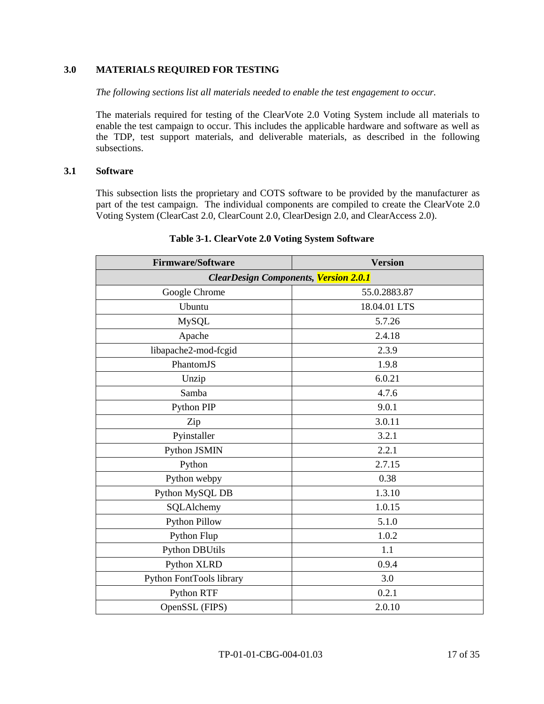## **3.0 MATERIALS REQUIRED FOR TESTING**

*The following sections list all materials needed to enable the test engagement to occur.*

The materials required for testing of the ClearVote 2.0 Voting System include all materials to enable the test campaign to occur. This includes the applicable hardware and software as well as the TDP, test support materials, and deliverable materials, as described in the following subsections.

#### **3.1 Software**

This subsection lists the proprietary and COTS software to be provided by the manufacturer as part of the test campaign. The individual components are compiled to create the ClearVote 2.0 Voting System (ClearCast 2.0, ClearCount 2.0, ClearDesign 2.0, and ClearAccess 2.0).

| <b>Firmware/Software</b>                     | <b>Version</b> |  |  |  |
|----------------------------------------------|----------------|--|--|--|
| <b>ClearDesign Components, Version 2.0.1</b> |                |  |  |  |
| Google Chrome                                | 55.0.2883.87   |  |  |  |
| Ubuntu                                       | 18.04.01 LTS   |  |  |  |
| <b>MySQL</b>                                 | 5.7.26         |  |  |  |
| Apache                                       | 2.4.18         |  |  |  |
| libapache2-mod-fcgid                         | 2.3.9          |  |  |  |
| PhantomJS                                    | 1.9.8          |  |  |  |
| Unzip                                        | 6.0.21         |  |  |  |
| Samba                                        | 4.7.6          |  |  |  |
| Python PIP                                   | 9.0.1          |  |  |  |
| Zip                                          | 3.0.11         |  |  |  |
| Pyinstaller                                  | 3.2.1          |  |  |  |
| Python JSMIN                                 | 2.2.1          |  |  |  |
| Python                                       | 2.7.15         |  |  |  |
| Python webpy                                 | 0.38           |  |  |  |
| Python MySQL DB                              | 1.3.10         |  |  |  |
| SQLAlchemy                                   | 1.0.15         |  |  |  |
| <b>Python Pillow</b>                         | 5.1.0          |  |  |  |
| Python Flup                                  | 1.0.2          |  |  |  |
| <b>Python DBUtils</b>                        | 1.1            |  |  |  |
| Python XLRD                                  | 0.9.4          |  |  |  |
| Python FontTools library                     | 3.0            |  |  |  |
| Python RTF                                   | 0.2.1          |  |  |  |
| OpenSSL (FIPS)                               | 2.0.10         |  |  |  |

## **Table 3-1. ClearVote 2.0 Voting System Software**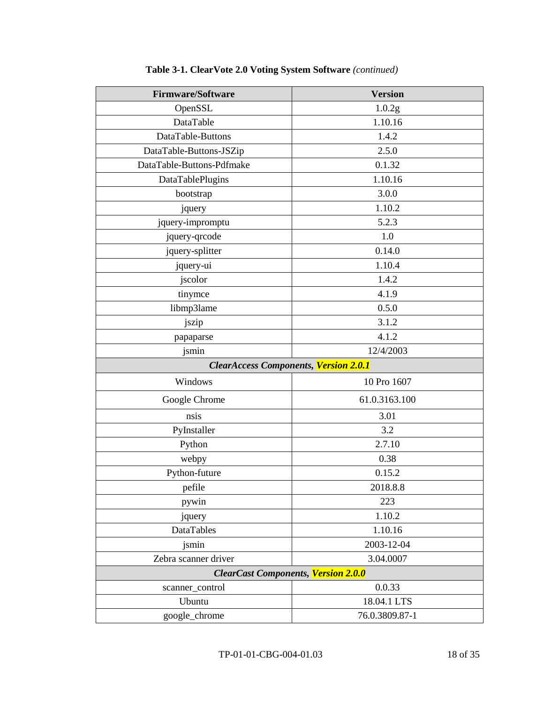| <b>Firmware/Software</b>                     | <b>Version</b> |  |  |  |
|----------------------------------------------|----------------|--|--|--|
| OpenSSL                                      | 1.0.2g         |  |  |  |
| DataTable                                    | 1.10.16        |  |  |  |
| DataTable-Buttons                            | 1.4.2          |  |  |  |
| DataTable-Buttons-JSZip                      | 2.5.0          |  |  |  |
| DataTable-Buttons-Pdfmake                    | 0.1.32         |  |  |  |
| DataTablePlugins                             | 1.10.16        |  |  |  |
| bootstrap                                    | 3.0.0          |  |  |  |
| jquery                                       | 1.10.2         |  |  |  |
| jquery-impromptu                             | 5.2.3          |  |  |  |
| jquery-qrcode                                | 1.0            |  |  |  |
| jquery-splitter                              | 0.14.0         |  |  |  |
| jquery-ui                                    | 1.10.4         |  |  |  |
| jscolor                                      | 1.4.2          |  |  |  |
| tinymce                                      | 4.1.9          |  |  |  |
| libmp3lame                                   | 0.5.0          |  |  |  |
| jszip                                        | 3.1.2          |  |  |  |
| papaparse                                    | 4.1.2          |  |  |  |
| jsmin                                        | 12/4/2003      |  |  |  |
| <b>ClearAccess Components, Version 2.0.1</b> |                |  |  |  |
| Windows                                      | 10 Pro 1607    |  |  |  |
| Google Chrome                                | 61.0.3163.100  |  |  |  |
| nsis                                         | 3.01           |  |  |  |
| PyInstaller                                  | 3.2            |  |  |  |
| Python                                       | 2.7.10         |  |  |  |
| webpy                                        | 0.38           |  |  |  |
| Python-future                                | 0.15.2         |  |  |  |
| pefile                                       | 2018.8.8       |  |  |  |
| pywin                                        | 223            |  |  |  |
| jquery                                       | 1.10.2         |  |  |  |
| DataTables                                   | 1.10.16        |  |  |  |
| jsmin                                        | 2003-12-04     |  |  |  |
| Zebra scanner driver                         | 3.04.0007      |  |  |  |
| <b>ClearCast Components, Version 2.0.0</b>   |                |  |  |  |
| scanner_control                              | 0.0.33         |  |  |  |
| Ubuntu                                       | 18.04.1 LTS    |  |  |  |
| google_chrome                                | 76.0.3809.87-1 |  |  |  |

## **Table 3-1. ClearVote 2.0 Voting System Software** *(continued)*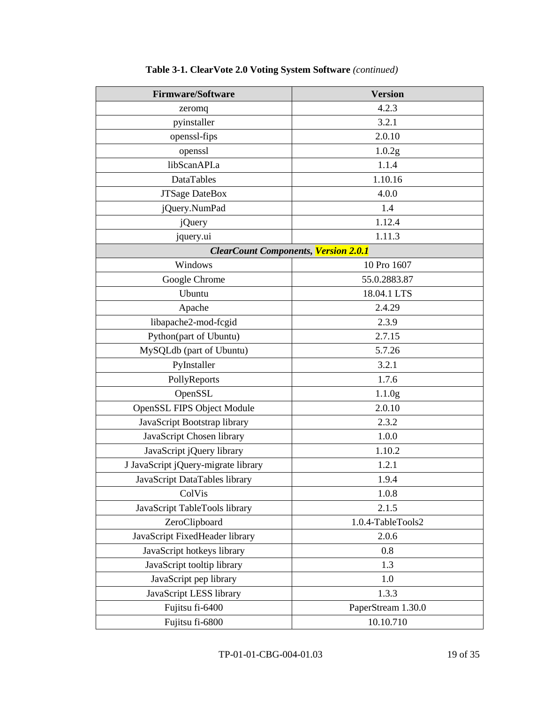| <b>Firmware/Software</b>                    | <b>Version</b>     |
|---------------------------------------------|--------------------|
| zeromq                                      | 4.2.3              |
| pyinstaller                                 | 3.2.1              |
| openssl-fips                                | 2.0.10             |
| openssl                                     | 1.0.2g             |
| libScanAPI.a                                | 1.1.4              |
| <b>DataTables</b>                           | 1.10.16            |
| <b>JTSage DateBox</b>                       | 4.0.0              |
| jQuery.NumPad                               | 1.4                |
| <i>j</i> Query                              | 1.12.4             |
| jquery.ui                                   | 1.11.3             |
| <b>ClearCount Components, Version 2.0.1</b> |                    |
| Windows                                     | 10 Pro 1607        |
| Google Chrome                               | 55.0.2883.87       |
| Ubuntu                                      | 18.04.1 LTS        |
| Apache                                      | 2.4.29             |
| libapache2-mod-fcgid                        | 2.3.9              |
| Python(part of Ubuntu)                      | 2.7.15             |
| MySQLdb (part of Ubuntu)                    | 5.7.26             |
| PyInstaller                                 | 3.2.1              |
| PollyReports                                | 1.7.6              |
| OpenSSL                                     | 1.1.0 <sub>g</sub> |
| <b>OpenSSL FIPS Object Module</b>           | 2.0.10             |
| JavaScript Bootstrap library                | 2.3.2              |
| JavaScript Chosen library                   | 1.0.0              |
| JavaScript jQuery library                   | 1.10.2             |
| J JavaScript jQuery-migrate library         | 1.2.1              |
| JavaScript DataTables library               | 1.9.4              |
| ColVis                                      | 1.0.8              |
| JavaScript TableTools library               | 2.1.5              |
| ZeroClipboard                               | 1.0.4-TableTools2  |
| JavaScript FixedHeader library              | 2.0.6              |
| JavaScript hotkeys library                  | 0.8                |
| JavaScript tooltip library                  | 1.3                |
| JavaScript pep library                      | 1.0                |
| JavaScript LESS library                     | 1.3.3              |
| Fujitsu fi-6400                             | PaperStream 1.30.0 |
| Fujitsu fi-6800                             | 10.10.710          |

## **Table 3-1. ClearVote 2.0 Voting System Software** *(continued)*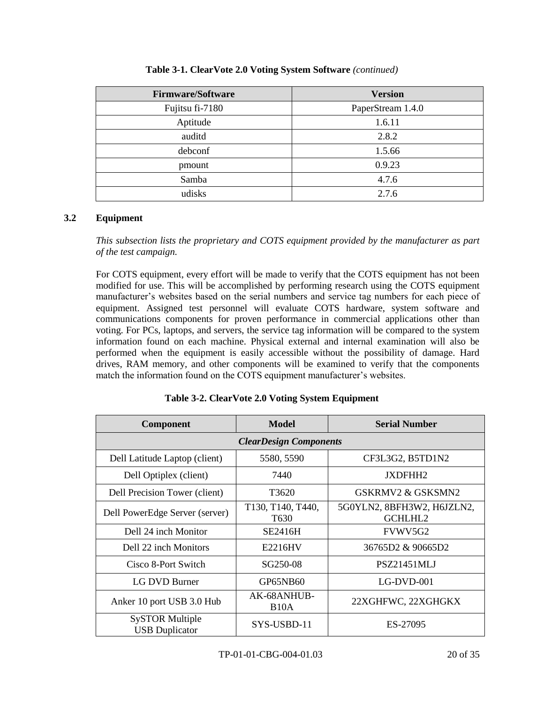| <b>Firmware/Software</b> | <b>Version</b>    |
|--------------------------|-------------------|
| Fujitsu fi-7180          | PaperStream 1.4.0 |
| Aptitude                 | 1.6.11            |
| auditd                   | 2.8.2             |
| debconf                  | 1.5.66            |
| pmount                   | 0.9.23            |
| Samba                    | 4.7.6             |
| udisks                   | 2.7.6             |

## **Table 3-1. ClearVote 2.0 Voting System Software** *(continued)*

## **3.2 Equipment**

*This subsection lists the proprietary and COTS equipment provided by the manufacturer as part of the test campaign.*

For COTS equipment, every effort will be made to verify that the COTS equipment has not been modified for use. This will be accomplished by performing research using the COTS equipment manufacturer's websites based on the serial numbers and service tag numbers for each piece of equipment. Assigned test personnel will evaluate COTS hardware, system software and communications components for proven performance in commercial applications other than voting. For PCs, laptops, and servers, the service tag information will be compared to the system information found on each machine. Physical external and internal examination will also be performed when the equipment is easily accessible without the possibility of damage. Hard drives, RAM memory, and other components will be examined to verify that the components match the information found on the COTS equipment manufacturer's websites.

| <b>Component</b>                                | Model                                 | <b>Serial Number</b>                  |  |  |
|-------------------------------------------------|---------------------------------------|---------------------------------------|--|--|
| <b>ClearDesign Components</b>                   |                                       |                                       |  |  |
| Dell Latitude Laptop (client)                   | 5580, 5590                            | CF3L3G2, B5TD1N2                      |  |  |
| Dell Optiplex (client)                          | 7440                                  | JXDFHH2                               |  |  |
| Dell Precision Tower (client)                   | T3620                                 | GSKRMV2 & GSKSMN2                     |  |  |
| Dell PowerEdge Server (server)                  | T130, T140, T440,<br>T <sub>630</sub> | 5G0YLN2, 8BFH3W2, H6JZLN2,<br>GCHLHL2 |  |  |
| Dell 24 inch Monitor                            | <b>SE2416H</b>                        | FVWV5G2                               |  |  |
| Dell 22 inch Monitors                           | E2216HV                               | 36765D2 & 90665D2                     |  |  |
| Cisco 8-Port Switch                             | SG250-08                              | <b>PSZ21451MLJ</b>                    |  |  |
| LG DVD Burner                                   | GP65NB60                              | LG-DVD-001                            |  |  |
| Anker 10 port USB 3.0 Hub                       | AK-68ANHUB-<br>B <sub>10</sub> A      | 22XGHFWC, 22XGHGKX                    |  |  |
| <b>SySTOR Multiple</b><br><b>USB</b> Duplicator | SYS-USBD-11                           | ES-27095                              |  |  |

**Table 3-2. ClearVote 2.0 Voting System Equipment**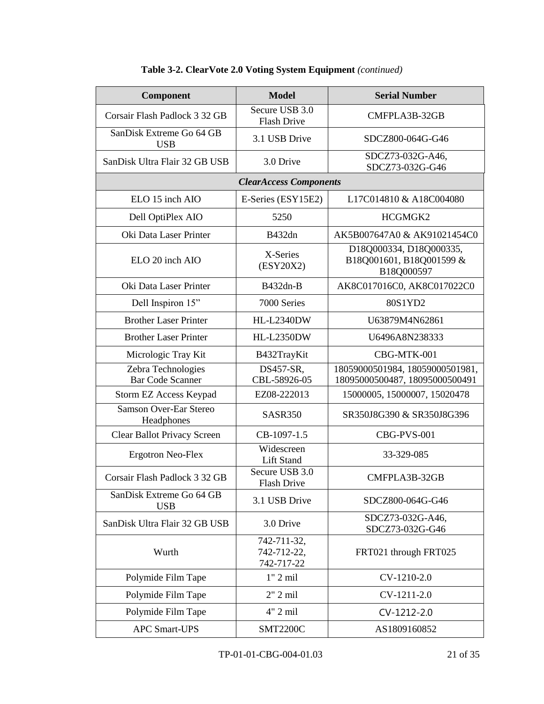| Component                                     | <b>Model</b>                             | <b>Serial Number</b>                                              |
|-----------------------------------------------|------------------------------------------|-------------------------------------------------------------------|
| Corsair Flash Padlock 3 32 GB                 | Secure USB 3.0<br><b>Flash Drive</b>     | CMFPLA3B-32GB                                                     |
| SanDisk Extreme Go 64 GB<br><b>USB</b>        | 3.1 USB Drive                            | SDCZ800-064G-G46                                                  |
| SanDisk Ultra Flair 32 GB USB                 | 3.0 Drive                                | SDCZ73-032G-A46,<br>SDCZ73-032G-G46                               |
|                                               | <b>ClearAccess Components</b>            |                                                                   |
| ELO 15 inch AIO                               | E-Series (ESY15E2)                       | L17C014810 & A18C004080                                           |
| Dell OptiPlex AIO                             | 5250                                     | HCGMGK2                                                           |
| Oki Data Laser Printer                        | <b>B432dn</b>                            | AK5B007647A0 & AK91021454C0                                       |
| ELO 20 inch AIO                               | X-Series<br>(ESY20X2)                    | D18Q000334, D18Q000335,<br>B18Q001601, B18Q001599 &<br>B18Q000597 |
| Oki Data Laser Printer                        | B432dn-B                                 | AK8C017016C0, AK8C017022C0                                        |
| Dell Inspiron 15"                             | 7000 Series                              | 80S1YD2                                                           |
| <b>Brother Laser Printer</b>                  | <b>HL-L2340DW</b>                        | U63879M4N62861                                                    |
| <b>Brother Laser Printer</b>                  | <b>HL-L2350DW</b>                        | U6496A8N238333                                                    |
| Micrologic Tray Kit                           | B432TrayKit                              | CBG-MTK-001                                                       |
| Zebra Technologies<br><b>Bar Code Scanner</b> | DS457-SR,<br>CBL-58926-05                | 18059000501984, 18059000501981,<br>18095000500487, 18095000500491 |
| Storm EZ Access Keypad                        | EZ08-222013                              | 15000005, 15000007, 15020478                                      |
| <b>Samson Over-Ear Stereo</b><br>Headphones   | SASR350                                  | SR350J8G390 & SR350J8G396                                         |
| Clear Ballot Privacy Screen                   | CB-1097-1.5                              | CBG-PVS-001                                                       |
| <b>Ergotron Neo-Flex</b>                      | Widescreen<br><b>Lift Stand</b>          | 33-329-085                                                        |
| Corsair Flash Padlock 3 32 GB                 | Secure USB 3.0<br>Flash Drive            | CMFPLA3B-32GB                                                     |
| SanDisk Extreme Go 64 GB<br><b>USB</b>        | 3.1 USB Drive                            | SDCZ800-064G-G46                                                  |
| SanDisk Ultra Flair 32 GB USB                 | 3.0 Drive                                | SDCZ73-032G-A46,<br>SDCZ73-032G-G46                               |
| Wurth                                         | 742-711-32,<br>742-712-22,<br>742-717-22 | FRT021 through FRT025                                             |
| Polymide Film Tape                            | $1"$ 2 mil                               | CV-1210-2.0                                                       |
| Polymide Film Tape                            | $2"$ 2 mil                               | CV-1211-2.0                                                       |
| Polymide Film Tape                            | 4" 2 mil                                 | CV-1212-2.0                                                       |
| <b>APC Smart-UPS</b>                          | <b>SMT2200C</b>                          | AS1809160852                                                      |

## **Table 3-2. ClearVote 2.0 Voting System Equipment** *(continued)*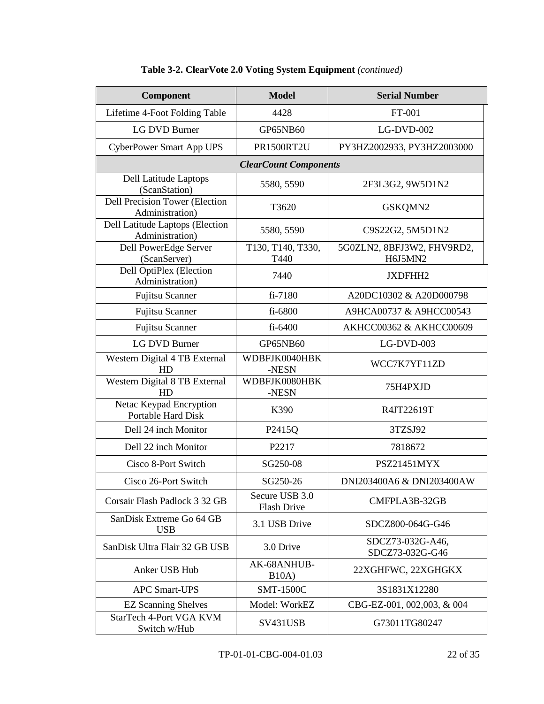| Component                                            | <b>Model</b>                  | <b>Serial Number</b>                  |
|------------------------------------------------------|-------------------------------|---------------------------------------|
| Lifetime 4-Foot Folding Table                        | 4428                          | FT-001                                |
| LG DVD Burner                                        | GP65NB60                      | $LG-DVD-002$                          |
| <b>CyberPower Smart App UPS</b>                      | <b>PR1500RT2U</b>             | PY3HZ2002933, PY3HZ2003000            |
|                                                      | <b>ClearCount Components</b>  |                                       |
| Dell Latitude Laptops<br>(ScanStation)               | 5580, 5590                    | 2F3L3G2, 9W5D1N2                      |
| Dell Precision Tower (Election<br>Administration)    | T3620                         | GSKQMN2                               |
| Dell Latitude Laptops (Election<br>Administration)   | 5580, 5590                    | C9S22G2, 5M5D1N2                      |
| Dell PowerEdge Server<br>(ScanServer)                | T130, T140, T330,<br>T440     | 5G0ZLN2, 8BFJ3W2, FHV9RD2,<br>H6J5MN2 |
| Dell OptiPlex (Election<br>Administration)           | 7440                          | JXDFHH2                               |
| Fujitsu Scanner                                      | fi-7180                       | A20DC10302 & A20D000798               |
| <b>Fujitsu Scanner</b>                               | fi-6800                       | A9HCA00737 & A9HCC00543               |
| Fujitsu Scanner                                      | $fi-6400$                     | AKHCC00362 & AKHCC00609               |
| <b>LG DVD Burner</b>                                 | GP65NB60                      | $LG-DVD-003$                          |
| Western Digital 4 TB External<br>HD                  | WDBFJK0040HBK<br>-NESN        | WCC7K7YF11ZD                          |
| Western Digital 8 TB External<br>HD                  | WDBFJK0080HBK<br>-NESN        | 75H4PXJD                              |
| Netac Keypad Encryption<br><b>Portable Hard Disk</b> | K390                          | R4JT22619T                            |
| Dell 24 inch Monitor                                 | P2415Q                        | 3TZSJ92                               |
| Dell 22 inch Monitor                                 | P2217                         | 7818672                               |
| Cisco 8-Port Switch                                  | SG250-08                      | <b>PSZ21451MYX</b>                    |
| Cisco 26-Port Switch                                 | SG250-26                      | DNI203400A6 & DNI203400AW             |
| Corsair Flash Padlock 3 32 GB                        | Secure USB 3.0<br>Flash Drive | CMFPLA3B-32GB                         |
| SanDisk Extreme Go 64 GB<br><b>USB</b>               | 3.1 USB Drive                 | SDCZ800-064G-G46                      |
| SanDisk Ultra Flair 32 GB USB                        | 3.0 Drive                     | SDCZ73-032G-A46,<br>SDCZ73-032G-G46   |
| Anker USB Hub                                        | AK-68ANHUB-<br>B10A)          | 22XGHFWC, 22XGHGKX                    |
| <b>APC Smart-UPS</b>                                 | <b>SMT-1500C</b>              | 3S1831X12280                          |
| <b>EZ Scanning Shelves</b>                           | Model: WorkEZ                 | CBG-EZ-001, 002,003, & 004            |
| StarTech 4-Port VGA KVM<br>Switch w/Hub              | SV431USB                      | G73011TG80247                         |

## **Table 3-2. ClearVote 2.0 Voting System Equipment** *(continued)*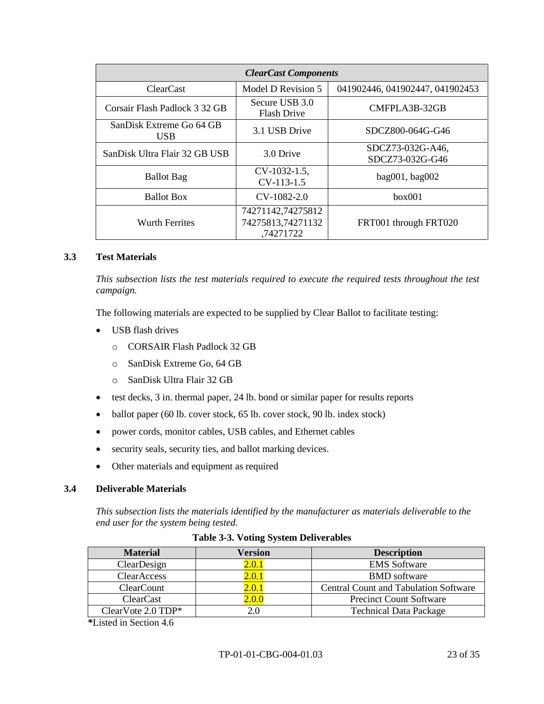| <b>ClearCast Components</b>            |                                                     |                                     |  |  |
|----------------------------------------|-----------------------------------------------------|-------------------------------------|--|--|
| <b>ClearCast</b>                       | Model D Revision 5                                  | 041902446, 041902447, 041902453     |  |  |
| Corsair Flash Padlock 3 32 GB          | Secure USB 3.0<br><b>Flash Drive</b>                | CMFPLA3B-32GB                       |  |  |
| SanDisk Extreme Go 64 GB<br><b>USB</b> | 3.1 USB Drive                                       | SDCZ800-064G-G46                    |  |  |
| SanDisk Ultra Flair 32 GB USB          | 3.0 Drive                                           | SDCZ73-032G-A46,<br>SDCZ73-032G-G46 |  |  |
| <b>Ballot</b> Bag                      | $CV-1032-1.5$ ,<br>CV-113-1.5                       | bag001, bag002                      |  |  |
| <b>Ballot Box</b>                      | $CV-1082-2.0$                                       | box001                              |  |  |
| Wurth Ferrites                         | 74271142,74275812<br>74275813,74271132<br>,74271722 | FRT001 through FRT020               |  |  |

## **3.3 Test Materials**

*This subsection lists the test materials required to execute the required tests throughout the test campaign.*

The following materials are expected to be supplied by Clear Ballot to facilitate testing:

- USB flash drives
	- o CORSAIR Flash Padlock 32 GB
	- o SanDisk Extreme Go, 64 GB
	- o SanDisk Ultra Flair 32 GB
- test decks, 3 in. thermal paper, 24 lb. bond or similar paper for results reports
- ballot paper (60 lb. cover stock, 65 lb. cover stock, 90 lb. index stock)
- power cords, monitor cables, USB cables, and Ethernet cables
- security seals, security ties, and ballot marking devices.
- Other materials and equipment as required

## **3.4 Deliverable Materials**

*This subsection lists the materials identified by the manufacturer as materials deliverable to the end user for the system being tested.*

| <b>Material</b>    | Version | <b>Description</b>                           |
|--------------------|---------|----------------------------------------------|
| ClearDesign        | 2.0.1   | <b>EMS</b> Software                          |
| ClearAccess        | 2.0.1   | <b>BMD</b> software                          |
| <b>ClearCount</b>  | 2.0.1   | <b>Central Count and Tabulation Software</b> |
| <b>ClearCast</b>   | 2.0.0   | <b>Precinct Count Software</b>               |
| ClearVote 2.0 TDP* |         | <b>Technical Data Package</b>                |

**Table 3-3. Voting System Deliverables**

**\***Listed in Section 4.6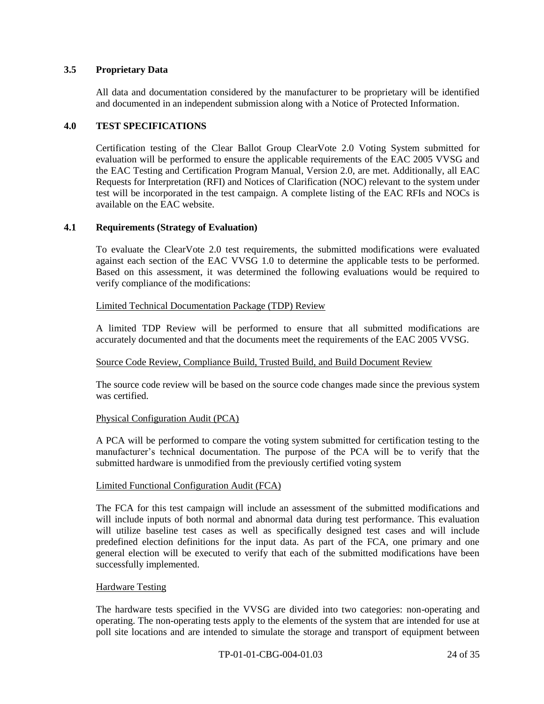### **3.5 Proprietary Data**

All data and documentation considered by the manufacturer to be proprietary will be identified and documented in an independent submission along with a Notice of Protected Information.

#### **4.0 TEST SPECIFICATIONS**

Certification testing of the Clear Ballot Group ClearVote 2.0 Voting System submitted for evaluation will be performed to ensure the applicable requirements of the EAC 2005 VVSG and the EAC Testing and Certification Program Manual, Version 2.0, are met. Additionally, all EAC Requests for Interpretation (RFI) and Notices of Clarification (NOC) relevant to the system under test will be incorporated in the test campaign. A complete listing of the EAC RFIs and NOCs is available on the EAC website.

#### **4.1 Requirements (Strategy of Evaluation)**

To evaluate the ClearVote 2.0 test requirements, the submitted modifications were evaluated against each section of the EAC VVSG 1.0 to determine the applicable tests to be performed. Based on this assessment, it was determined the following evaluations would be required to verify compliance of the modifications:

#### Limited Technical Documentation Package (TDP) Review

A limited TDP Review will be performed to ensure that all submitted modifications are accurately documented and that the documents meet the requirements of the EAC 2005 VVSG.

## Source Code Review, Compliance Build, Trusted Build, and Build Document Review

The source code review will be based on the source code changes made since the previous system was certified.

## Physical Configuration Audit (PCA)

A PCA will be performed to compare the voting system submitted for certification testing to the manufacturer's technical documentation. The purpose of the PCA will be to verify that the submitted hardware is unmodified from the previously certified voting system

#### Limited Functional Configuration Audit (FCA)

The FCA for this test campaign will include an assessment of the submitted modifications and will include inputs of both normal and abnormal data during test performance. This evaluation will utilize baseline test cases as well as specifically designed test cases and will include predefined election definitions for the input data. As part of the FCA, one primary and one general election will be executed to verify that each of the submitted modifications have been successfully implemented.

#### Hardware Testing

The hardware tests specified in the VVSG are divided into two categories: non-operating and operating. The non-operating tests apply to the elements of the system that are intended for use at poll site locations and are intended to simulate the storage and transport of equipment between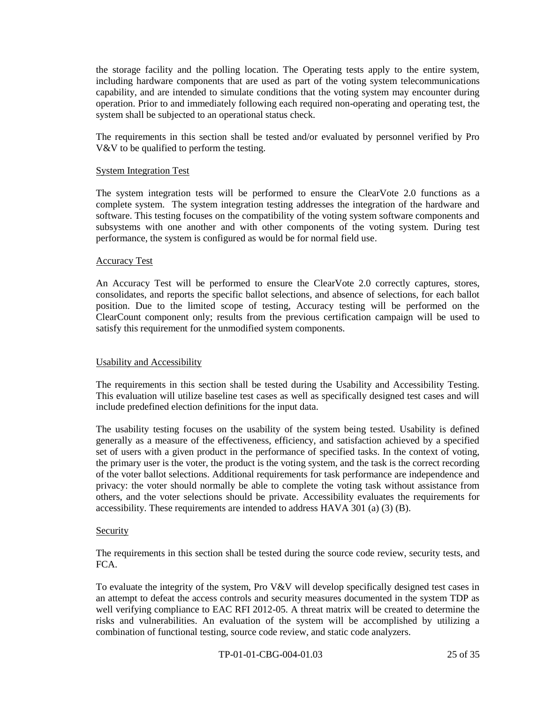the storage facility and the polling location. The Operating tests apply to the entire system, including hardware components that are used as part of the voting system telecommunications capability, and are intended to simulate conditions that the voting system may encounter during operation. Prior to and immediately following each required non-operating and operating test, the system shall be subjected to an operational status check.

The requirements in this section shall be tested and/or evaluated by personnel verified by Pro V&V to be qualified to perform the testing.

#### System Integration Test

The system integration tests will be performed to ensure the ClearVote 2.0 functions as a complete system. The system integration testing addresses the integration of the hardware and software. This testing focuses on the compatibility of the voting system software components and subsystems with one another and with other components of the voting system. During test performance, the system is configured as would be for normal field use.

#### Accuracy Test

An Accuracy Test will be performed to ensure the ClearVote 2.0 correctly captures, stores, consolidates, and reports the specific ballot selections, and absence of selections, for each ballot position. Due to the limited scope of testing, Accuracy testing will be performed on the ClearCount component only; results from the previous certification campaign will be used to satisfy this requirement for the unmodified system components.

## Usability and Accessibility

The requirements in this section shall be tested during the Usability and Accessibility Testing. This evaluation will utilize baseline test cases as well as specifically designed test cases and will include predefined election definitions for the input data.

The usability testing focuses on the usability of the system being tested. Usability is defined generally as a measure of the effectiveness, efficiency, and satisfaction achieved by a specified set of users with a given product in the performance of specified tasks. In the context of voting, the primary user is the voter, the product is the voting system, and the task is the correct recording of the voter ballot selections. Additional requirements for task performance are independence and privacy: the voter should normally be able to complete the voting task without assistance from others, and the voter selections should be private. Accessibility evaluates the requirements for accessibility. These requirements are intended to address HAVA 301 (a) (3) (B).

#### Security

The requirements in this section shall be tested during the source code review, security tests, and FCA.

To evaluate the integrity of the system, Pro V&V will develop specifically designed test cases in an attempt to defeat the access controls and security measures documented in the system TDP as well verifying compliance to EAC RFI 2012-05. A threat matrix will be created to determine the risks and vulnerabilities. An evaluation of the system will be accomplished by utilizing a combination of functional testing, source code review, and static code analyzers.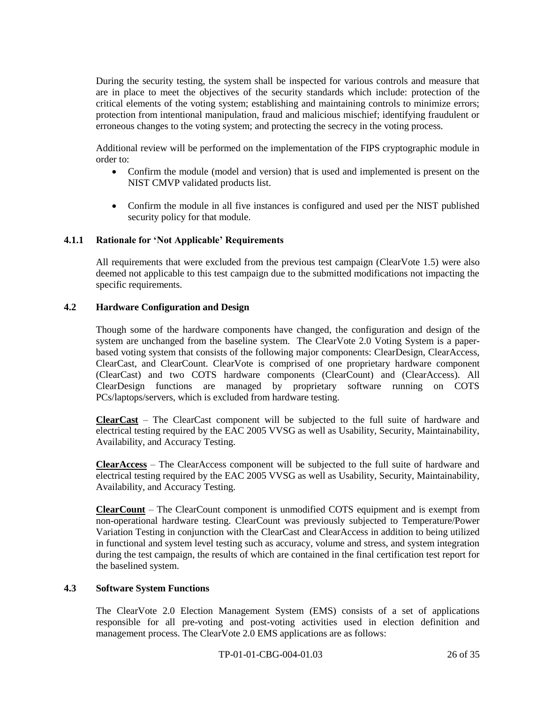During the security testing, the system shall be inspected for various controls and measure that are in place to meet the objectives of the security standards which include: protection of the critical elements of the voting system; establishing and maintaining controls to minimize errors; protection from intentional manipulation, fraud and malicious mischief; identifying fraudulent or erroneous changes to the voting system; and protecting the secrecy in the voting process.

Additional review will be performed on the implementation of the FIPS cryptographic module in order to:

- Confirm the module (model and version) that is used and implemented is present on the NIST CMVP validated products list.
- Confirm the module in all five instances is configured and used per the NIST published security policy for that module.

## **4.1.1 Rationale for 'Not Applicable' Requirements**

All requirements that were excluded from the previous test campaign (ClearVote 1.5) were also deemed not applicable to this test campaign due to the submitted modifications not impacting the specific requirements.

### **4.2 Hardware Configuration and Design**

Though some of the hardware components have changed, the configuration and design of the system are unchanged from the baseline system. The ClearVote 2.0 Voting System is a paperbased voting system that consists of the following major components: ClearDesign, ClearAccess, ClearCast, and ClearCount. ClearVote is comprised of one proprietary hardware component (ClearCast) and two COTS hardware components (ClearCount) and (ClearAccess). All ClearDesign functions are managed by proprietary software running on COTS PCs/laptops/servers, which is excluded from hardware testing.

**ClearCast** – The ClearCast component will be subjected to the full suite of hardware and electrical testing required by the EAC 2005 VVSG as well as Usability, Security, Maintainability, Availability, and Accuracy Testing.

**ClearAccess** – The ClearAccess component will be subjected to the full suite of hardware and electrical testing required by the EAC 2005 VVSG as well as Usability, Security, Maintainability, Availability, and Accuracy Testing.

**ClearCount** – The ClearCount component is unmodified COTS equipment and is exempt from non-operational hardware testing. ClearCount was previously subjected to Temperature/Power Variation Testing in conjunction with the ClearCast and ClearAccess in addition to being utilized in functional and system level testing such as accuracy, volume and stress, and system integration during the test campaign, the results of which are contained in the final certification test report for the baselined system.

## **4.3 Software System Functions**

The ClearVote 2.0 Election Management System (EMS) consists of a set of applications responsible for all pre-voting and post-voting activities used in election definition and management process. The ClearVote 2.0 EMS applications are as follows: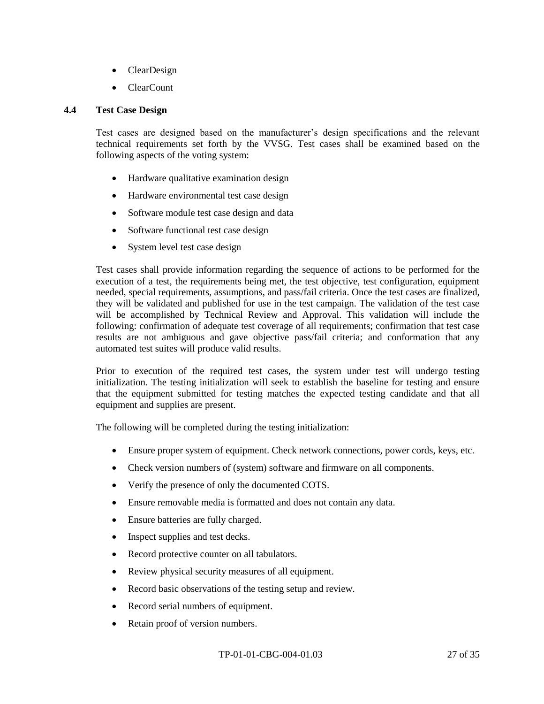- ClearDesign
- ClearCount

## **4.4 Test Case Design**

Test cases are designed based on the manufacturer's design specifications and the relevant technical requirements set forth by the VVSG. Test cases shall be examined based on the following aspects of the voting system:

- Hardware qualitative examination design
- Hardware environmental test case design
- Software module test case design and data
- Software functional test case design
- System level test case design

Test cases shall provide information regarding the sequence of actions to be performed for the execution of a test, the requirements being met, the test objective, test configuration, equipment needed, special requirements, assumptions, and pass/fail criteria. Once the test cases are finalized, they will be validated and published for use in the test campaign. The validation of the test case will be accomplished by Technical Review and Approval. This validation will include the following: confirmation of adequate test coverage of all requirements; confirmation that test case results are not ambiguous and gave objective pass/fail criteria; and conformation that any automated test suites will produce valid results.

Prior to execution of the required test cases, the system under test will undergo testing initialization. The testing initialization will seek to establish the baseline for testing and ensure that the equipment submitted for testing matches the expected testing candidate and that all equipment and supplies are present.

The following will be completed during the testing initialization:

- Ensure proper system of equipment. Check network connections, power cords, keys, etc.
- Check version numbers of (system) software and firmware on all components.
- Verify the presence of only the documented COTS.
- Ensure removable media is formatted and does not contain any data.
- Ensure batteries are fully charged.
- Inspect supplies and test decks.
- Record protective counter on all tabulators.
- Review physical security measures of all equipment.
- Record basic observations of the testing setup and review.
- Record serial numbers of equipment.
- Retain proof of version numbers.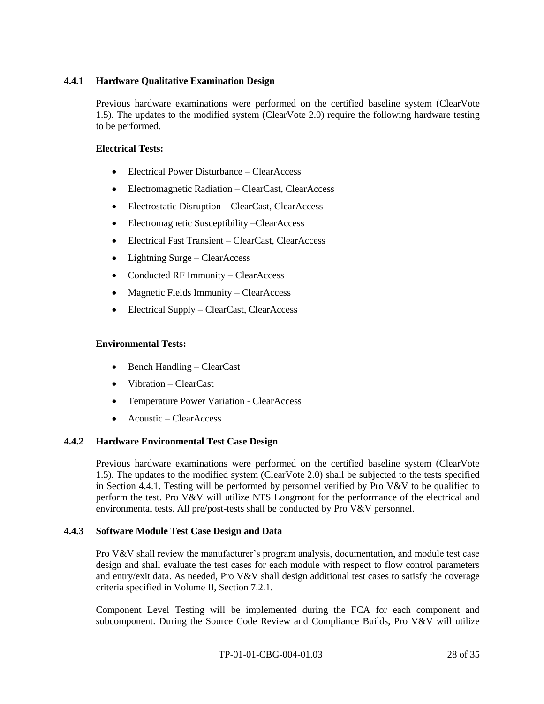## **4.4.1 Hardware Qualitative Examination Design**

Previous hardware examinations were performed on the certified baseline system (ClearVote 1.5). The updates to the modified system (ClearVote 2.0) require the following hardware testing to be performed.

## **Electrical Tests:**

- Electrical Power Disturbance ClearAccess
- Electromagnetic Radiation ClearCast, ClearAccess
- Electrostatic Disruption ClearCast, ClearAccess
- Electromagnetic Susceptibility –ClearAccess
- Electrical Fast Transient ClearCast, ClearAccess
- Lightning Surge ClearAccess
- Conducted RF Immunity ClearAccess
- Magnetic Fields Immunity ClearAccess
- Electrical Supply ClearCast, ClearAccess

## **Environmental Tests:**

- $\bullet$  Bench Handling ClearCast
- Vibration ClearCast
- Temperature Power Variation ClearAccess
- Acoustic ClearAccess

## **4.4.2 Hardware Environmental Test Case Design**

Previous hardware examinations were performed on the certified baseline system (ClearVote 1.5). The updates to the modified system (ClearVote 2.0) shall be subjected to the tests specified in Section 4.4.1. Testing will be performed by personnel verified by Pro V&V to be qualified to perform the test. Pro V&V will utilize NTS Longmont for the performance of the electrical and environmental tests. All pre/post-tests shall be conducted by Pro V&V personnel.

## **4.4.3 Software Module Test Case Design and Data**

Pro V&V shall review the manufacturer's program analysis, documentation, and module test case design and shall evaluate the test cases for each module with respect to flow control parameters and entry/exit data. As needed, Pro V&V shall design additional test cases to satisfy the coverage criteria specified in Volume II, Section 7.2.1.

Component Level Testing will be implemented during the FCA for each component and subcomponent. During the Source Code Review and Compliance Builds, Pro V&V will utilize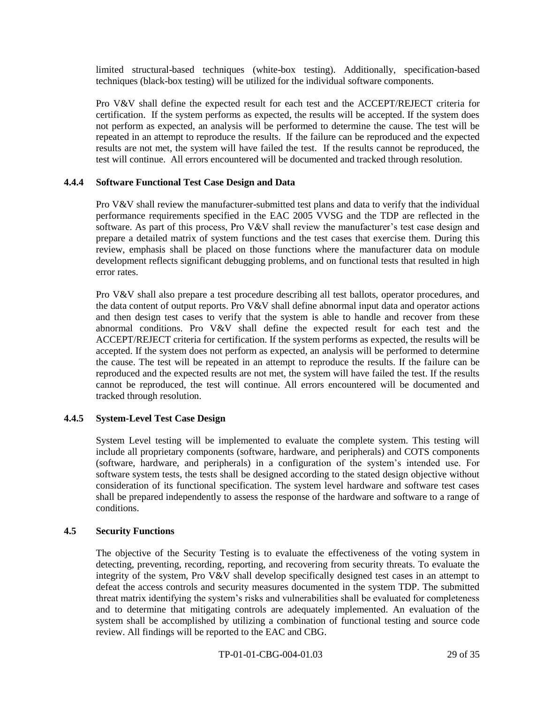limited structural-based techniques (white-box testing). Additionally, specification-based techniques (black-box testing) will be utilized for the individual software components.

Pro V&V shall define the expected result for each test and the ACCEPT/REJECT criteria for certification. If the system performs as expected, the results will be accepted. If the system does not perform as expected, an analysis will be performed to determine the cause. The test will be repeated in an attempt to reproduce the results. If the failure can be reproduced and the expected results are not met, the system will have failed the test. If the results cannot be reproduced, the test will continue. All errors encountered will be documented and tracked through resolution.

## **4.4.4 Software Functional Test Case Design and Data**

Pro V&V shall review the manufacturer-submitted test plans and data to verify that the individual performance requirements specified in the EAC 2005 VVSG and the TDP are reflected in the software. As part of this process, Pro  $V&V$  shall review the manufacturer's test case design and prepare a detailed matrix of system functions and the test cases that exercise them. During this review, emphasis shall be placed on those functions where the manufacturer data on module development reflects significant debugging problems, and on functional tests that resulted in high error rates.

Pro V&V shall also prepare a test procedure describing all test ballots, operator procedures, and the data content of output reports. Pro V&V shall define abnormal input data and operator actions and then design test cases to verify that the system is able to handle and recover from these abnormal conditions. Pro V&V shall define the expected result for each test and the ACCEPT/REJECT criteria for certification. If the system performs as expected, the results will be accepted. If the system does not perform as expected, an analysis will be performed to determine the cause. The test will be repeated in an attempt to reproduce the results. If the failure can be reproduced and the expected results are not met, the system will have failed the test. If the results cannot be reproduced, the test will continue. All errors encountered will be documented and tracked through resolution.

## **4.4.5 System-Level Test Case Design**

System Level testing will be implemented to evaluate the complete system. This testing will include all proprietary components (software, hardware, and peripherals) and COTS components (software, hardware, and peripherals) in a configuration of the system's intended use. For software system tests, the tests shall be designed according to the stated design objective without consideration of its functional specification. The system level hardware and software test cases shall be prepared independently to assess the response of the hardware and software to a range of conditions.

## **4.5 Security Functions**

The objective of the Security Testing is to evaluate the effectiveness of the voting system in detecting, preventing, recording, reporting, and recovering from security threats. To evaluate the integrity of the system, Pro V&V shall develop specifically designed test cases in an attempt to defeat the access controls and security measures documented in the system TDP. The submitted threat matrix identifying the system's risks and vulnerabilities shall be evaluated for completeness and to determine that mitigating controls are adequately implemented. An evaluation of the system shall be accomplished by utilizing a combination of functional testing and source code review. All findings will be reported to the EAC and CBG.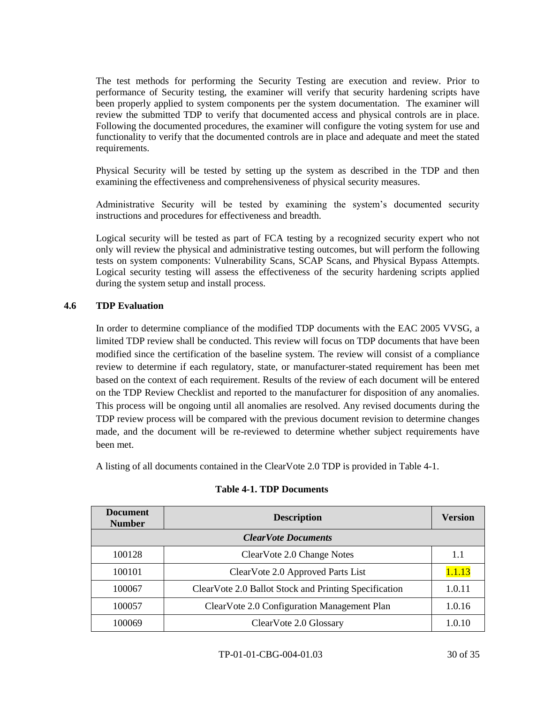The test methods for performing the Security Testing are execution and review. Prior to performance of Security testing, the examiner will verify that security hardening scripts have been properly applied to system components per the system documentation. The examiner will review the submitted TDP to verify that documented access and physical controls are in place. Following the documented procedures, the examiner will configure the voting system for use and functionality to verify that the documented controls are in place and adequate and meet the stated requirements.

Physical Security will be tested by setting up the system as described in the TDP and then examining the effectiveness and comprehensiveness of physical security measures.

Administrative Security will be tested by examining the system's documented security instructions and procedures for effectiveness and breadth.

Logical security will be tested as part of FCA testing by a recognized security expert who not only will review the physical and administrative testing outcomes, but will perform the following tests on system components: Vulnerability Scans, SCAP Scans, and Physical Bypass Attempts. Logical security testing will assess the effectiveness of the security hardening scripts applied during the system setup and install process.

## **4.6 TDP Evaluation**

In order to determine compliance of the modified TDP documents with the EAC 2005 VVSG, a limited TDP review shall be conducted. This review will focus on TDP documents that have been modified since the certification of the baseline system. The review will consist of a compliance review to determine if each regulatory, state, or manufacturer-stated requirement has been met based on the context of each requirement. Results of the review of each document will be entered on the TDP Review Checklist and reported to the manufacturer for disposition of any anomalies. This process will be ongoing until all anomalies are resolved. Any revised documents during the TDP review process will be compared with the previous document revision to determine changes made, and the document will be re-reviewed to determine whether subject requirements have been met.

A listing of all documents contained in the ClearVote 2.0 TDP is provided in Table 4-1.

| <b>Document</b><br><b>Number</b> | <b>Description</b>                                    | <b>Version</b> |
|----------------------------------|-------------------------------------------------------|----------------|
|                                  | <b>ClearVote Documents</b>                            |                |
| 100128                           | ClearVote 2.0 Change Notes                            | 1.1            |
| 100101                           | ClearVote 2.0 Approved Parts List                     | 1.1.13         |
| 100067                           | ClearVote 2.0 Ballot Stock and Printing Specification | 1.0.11         |
| 100057                           | ClearVote 2.0 Configuration Management Plan           | 1.0.16         |
| 100069                           | ClearVote 2.0 Glossary                                | 1.0.10         |

#### **Table 4-1. TDP Documents**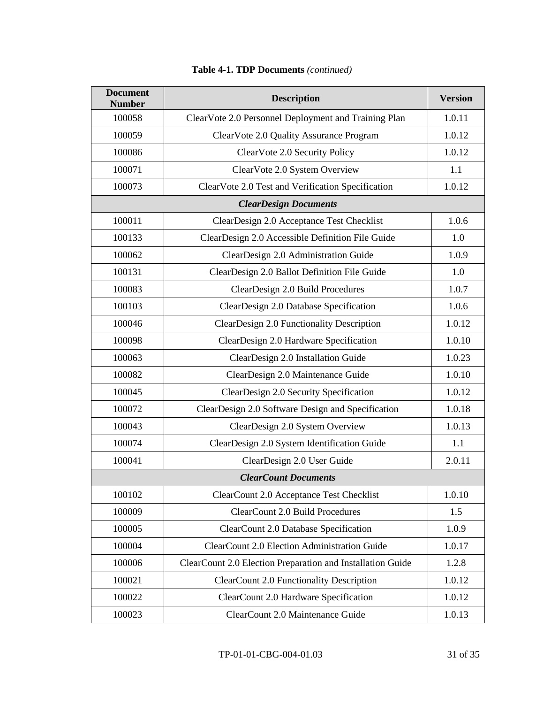| <b>Document</b><br><b>Number</b> | <b>Description</b>                                         | <b>Version</b> |
|----------------------------------|------------------------------------------------------------|----------------|
| 100058                           | ClearVote 2.0 Personnel Deployment and Training Plan       | 1.0.11         |
| 100059                           | ClearVote 2.0 Quality Assurance Program                    | 1.0.12         |
| 100086                           | ClearVote 2.0 Security Policy                              | 1.0.12         |
| 100071                           | ClearVote 2.0 System Overview                              | 1.1            |
| 100073                           | ClearVote 2.0 Test and Verification Specification          | 1.0.12         |
|                                  | <b>ClearDesign Documents</b>                               |                |
| 100011                           | ClearDesign 2.0 Acceptance Test Checklist                  | 1.0.6          |
| 100133                           | ClearDesign 2.0 Accessible Definition File Guide           | 1.0            |
| 100062                           | ClearDesign 2.0 Administration Guide                       | 1.0.9          |
| 100131                           | ClearDesign 2.0 Ballot Definition File Guide               | 1.0            |
| 100083                           | ClearDesign 2.0 Build Procedures                           | 1.0.7          |
| 100103                           | ClearDesign 2.0 Database Specification                     | 1.0.6          |
| 100046                           | ClearDesign 2.0 Functionality Description                  | 1.0.12         |
| 100098                           | ClearDesign 2.0 Hardware Specification                     | 1.0.10         |
| 100063                           | ClearDesign 2.0 Installation Guide                         | 1.0.23         |
| 100082                           | ClearDesign 2.0 Maintenance Guide                          | 1.0.10         |
| 100045                           | ClearDesign 2.0 Security Specification                     | 1.0.12         |
| 100072                           | ClearDesign 2.0 Software Design and Specification          | 1.0.18         |
| 100043                           | ClearDesign 2.0 System Overview                            | 1.0.13         |
| 100074                           | ClearDesign 2.0 System Identification Guide                | 1.1            |
| 100041                           | ClearDesign 2.0 User Guide                                 | 2.0.11         |
| <b>ClearCount Documents</b>      |                                                            |                |
| 100102                           | ClearCount 2.0 Acceptance Test Checklist                   | 1.0.10         |
| 100009                           | <b>ClearCount 2.0 Build Procedures</b>                     | 1.5            |
| 100005                           | ClearCount 2.0 Database Specification                      | 1.0.9          |
| 100004                           | ClearCount 2.0 Election Administration Guide               | 1.0.17         |
| 100006                           | ClearCount 2.0 Election Preparation and Installation Guide | 1.2.8          |
| 100021                           | <b>ClearCount 2.0 Functionality Description</b>            | 1.0.12         |
| 100022                           | ClearCount 2.0 Hardware Specification                      | 1.0.12         |
| 100023                           | ClearCount 2.0 Maintenance Guide                           | 1.0.13         |

# **Table 4-1. TDP Documents** *(continued)*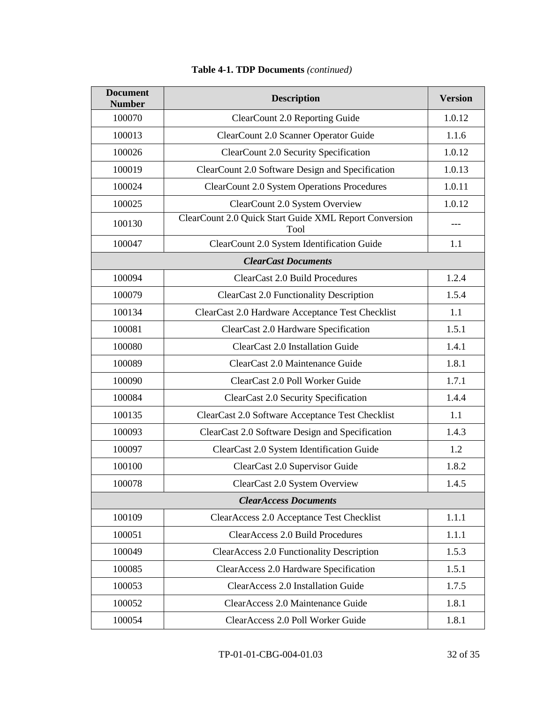| <b>Document</b><br><b>Number</b> | <b>Description</b>                                             | <b>Version</b> |
|----------------------------------|----------------------------------------------------------------|----------------|
| 100070                           | ClearCount 2.0 Reporting Guide                                 | 1.0.12         |
| 100013                           | ClearCount 2.0 Scanner Operator Guide                          | 1.1.6          |
| 100026                           | ClearCount 2.0 Security Specification                          | 1.0.12         |
| 100019                           | ClearCount 2.0 Software Design and Specification               | 1.0.13         |
| 100024                           | <b>ClearCount 2.0 System Operations Procedures</b>             | 1.0.11         |
| 100025                           | ClearCount 2.0 System Overview                                 | 1.0.12         |
| 100130                           | ClearCount 2.0 Quick Start Guide XML Report Conversion<br>Tool | $---$          |
| 100047                           | ClearCount 2.0 System Identification Guide                     | 1.1            |
|                                  | <b>ClearCast Documents</b>                                     |                |
| 100094                           | ClearCast 2.0 Build Procedures                                 | 1.2.4          |
| 100079                           | <b>ClearCast 2.0 Functionality Description</b>                 | 1.5.4          |
| 100134                           | ClearCast 2.0 Hardware Acceptance Test Checklist               | 1.1            |
| 100081                           | ClearCast 2.0 Hardware Specification                           | 1.5.1          |
| 100080                           | ClearCast 2.0 Installation Guide                               | 1.4.1          |
| 100089                           | ClearCast 2.0 Maintenance Guide                                | 1.8.1          |
| 100090                           | ClearCast 2.0 Poll Worker Guide                                | 1.7.1          |
| 100084                           | ClearCast 2.0 Security Specification                           | 1.4.4          |
| 100135                           | ClearCast 2.0 Software Acceptance Test Checklist               | 1.1            |
| 100093                           | ClearCast 2.0 Software Design and Specification                | 1.4.3          |
| 100097                           | ClearCast 2.0 System Identification Guide                      | 1.2            |
| 100100                           | ClearCast 2.0 Supervisor Guide                                 | 1.8.2          |
| 100078                           | ClearCast 2.0 System Overview                                  | 1.4.5          |
| <b>ClearAccess Documents</b>     |                                                                |                |
| 100109                           | ClearAccess 2.0 Acceptance Test Checklist                      | 1.1.1          |
| 100051                           | <b>ClearAccess 2.0 Build Procedures</b>                        | 1.1.1          |
| 100049                           | <b>ClearAccess 2.0 Functionality Description</b>               | 1.5.3          |
| 100085                           | ClearAccess 2.0 Hardware Specification                         | 1.5.1          |
| 100053                           | ClearAccess 2.0 Installation Guide                             | 1.7.5          |
| 100052                           | ClearAccess 2.0 Maintenance Guide                              | 1.8.1          |
| 100054                           | ClearAccess 2.0 Poll Worker Guide                              | 1.8.1          |

# **Table 4-1. TDP Documents** *(continued)*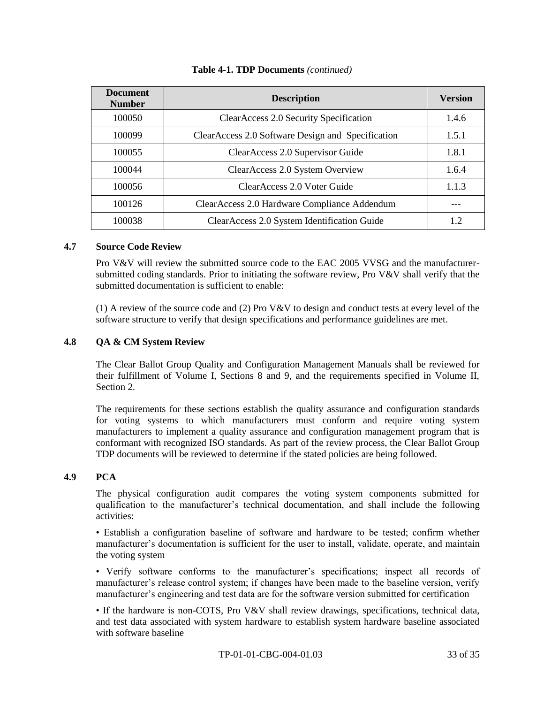| <b>Document</b><br><b>Number</b> | <b>Description</b>                                | <b>Version</b> |
|----------------------------------|---------------------------------------------------|----------------|
| 100050                           | ClearAccess 2.0 Security Specification            | 1.4.6          |
| 100099                           | ClearAccess 2.0 Software Design and Specification | 1.5.1          |
| 100055                           | ClearAccess 2.0 Supervisor Guide                  | 1.8.1          |
| 100044                           | ClearAccess 2.0 System Overview                   | 1.6.4          |
| 100056                           | Clear Access 2.0 Voter Guide                      | 1.1.3          |
| 100126                           | ClearAccess 2.0 Hardware Compliance Addendum      |                |
| 100038                           | ClearAccess 2.0 System Identification Guide       | 1.2            |

## **Table 4-1. TDP Documents** *(continued)*

## **4.7 Source Code Review**

Pro V&V will review the submitted source code to the EAC 2005 VVSG and the manufacturersubmitted coding standards. Prior to initiating the software review, Pro  $V&V$  shall verify that the submitted documentation is sufficient to enable:

(1) A review of the source code and (2) Pro V&V to design and conduct tests at every level of the software structure to verify that design specifications and performance guidelines are met.

## **4.8 QA & CM System Review**

The Clear Ballot Group Quality and Configuration Management Manuals shall be reviewed for their fulfillment of Volume I, Sections 8 and 9, and the requirements specified in Volume II, Section 2.

The requirements for these sections establish the quality assurance and configuration standards for voting systems to which manufacturers must conform and require voting system manufacturers to implement a quality assurance and configuration management program that is conformant with recognized ISO standards. As part of the review process, the Clear Ballot Group TDP documents will be reviewed to determine if the stated policies are being followed.

#### **4.9 PCA**

The physical configuration audit compares the voting system components submitted for qualification to the manufacturer's technical documentation, and shall include the following activities:

• Establish a configuration baseline of software and hardware to be tested; confirm whether manufacturer's documentation is sufficient for the user to install, validate, operate, and maintain the voting system

• Verify software conforms to the manufacturer's specifications; inspect all records of manufacturer's release control system; if changes have been made to the baseline version, verify manufacturer's engineering and test data are for the software version submitted for certification

• If the hardware is non-COTS, Pro V&V shall review drawings, specifications, technical data, and test data associated with system hardware to establish system hardware baseline associated with software baseline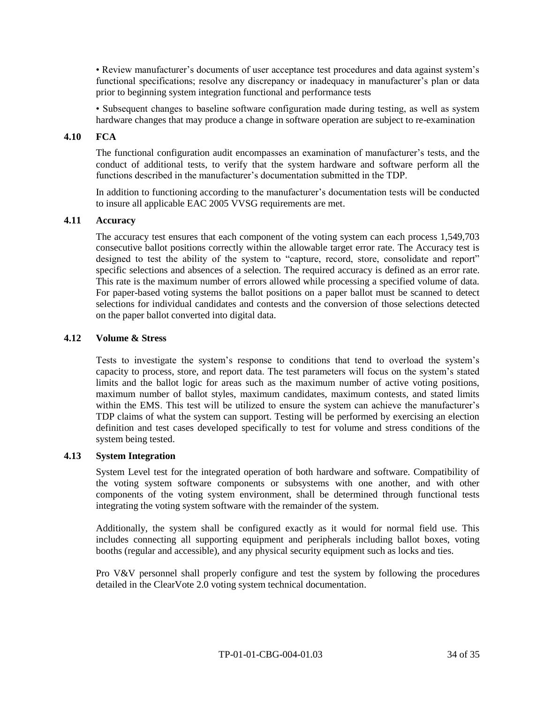• Review manufacturer's documents of user acceptance test procedures and data against system's functional specifications; resolve any discrepancy or inadequacy in manufacturer's plan or data prior to beginning system integration functional and performance tests

• Subsequent changes to baseline software configuration made during testing, as well as system hardware changes that may produce a change in software operation are subject to re-examination

## **4.10 FCA**

The functional configuration audit encompasses an examination of manufacturer's tests, and the conduct of additional tests, to verify that the system hardware and software perform all the functions described in the manufacturer's documentation submitted in the TDP.

In addition to functioning according to the manufacturer's documentation tests will be conducted to insure all applicable EAC 2005 VVSG requirements are met.

## **4.11 Accuracy**

The accuracy test ensures that each component of the voting system can each process 1,549,703 consecutive ballot positions correctly within the allowable target error rate. The Accuracy test is designed to test the ability of the system to "capture, record, store, consolidate and report" specific selections and absences of a selection. The required accuracy is defined as an error rate. This rate is the maximum number of errors allowed while processing a specified volume of data. For paper-based voting systems the ballot positions on a paper ballot must be scanned to detect selections for individual candidates and contests and the conversion of those selections detected on the paper ballot converted into digital data.

#### **4.12 Volume & Stress**

Tests to investigate the system's response to conditions that tend to overload the system's capacity to process, store, and report data. The test parameters will focus on the system's stated limits and the ballot logic for areas such as the maximum number of active voting positions, maximum number of ballot styles, maximum candidates, maximum contests, and stated limits within the EMS. This test will be utilized to ensure the system can achieve the manufacturer's TDP claims of what the system can support. Testing will be performed by exercising an election definition and test cases developed specifically to test for volume and stress conditions of the system being tested.

## **4.13 System Integration**

System Level test for the integrated operation of both hardware and software. Compatibility of the voting system software components or subsystems with one another, and with other components of the voting system environment, shall be determined through functional tests integrating the voting system software with the remainder of the system.

Additionally, the system shall be configured exactly as it would for normal field use. This includes connecting all supporting equipment and peripherals including ballot boxes, voting booths (regular and accessible), and any physical security equipment such as locks and ties.

Pro V&V personnel shall properly configure and test the system by following the procedures detailed in the ClearVote 2.0 voting system technical documentation.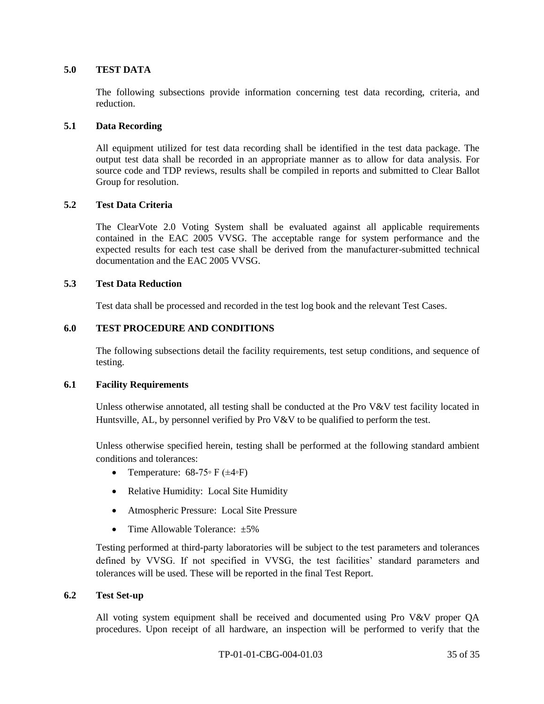### **5.0 TEST DATA**

The following subsections provide information concerning test data recording, criteria, and reduction.

### **5.1 Data Recording**

All equipment utilized for test data recording shall be identified in the test data package. The output test data shall be recorded in an appropriate manner as to allow for data analysis. For source code and TDP reviews, results shall be compiled in reports and submitted to Clear Ballot Group for resolution.

## **5.2 Test Data Criteria**

The ClearVote 2.0 Voting System shall be evaluated against all applicable requirements contained in the EAC 2005 VVSG. The acceptable range for system performance and the expected results for each test case shall be derived from the manufacturer-submitted technical documentation and the EAC 2005 VVSG.

#### **5.3 Test Data Reduction**

Test data shall be processed and recorded in the test log book and the relevant Test Cases.

## **6.0 TEST PROCEDURE AND CONDITIONS**

The following subsections detail the facility requirements, test setup conditions, and sequence of testing.

#### **6.1 Facility Requirements**

Unless otherwise annotated, all testing shall be conducted at the Pro V&V test facility located in Huntsville, AL, by personnel verified by Pro V&V to be qualified to perform the test.

Unless otherwise specified herein, testing shall be performed at the following standard ambient conditions and tolerances:

- Temperature:  $68-75 \circ F (\pm 4 \circ F)$
- Relative Humidity: Local Site Humidity
- Atmospheric Pressure: Local Site Pressure
- Time Allowable Tolerance:  $\pm 5\%$

Testing performed at third-party laboratories will be subject to the test parameters and tolerances defined by VVSG. If not specified in VVSG, the test facilities' standard parameters and tolerances will be used. These will be reported in the final Test Report.

### **6.2 Test Set-up**

All voting system equipment shall be received and documented using Pro V&V proper QA procedures. Upon receipt of all hardware, an inspection will be performed to verify that the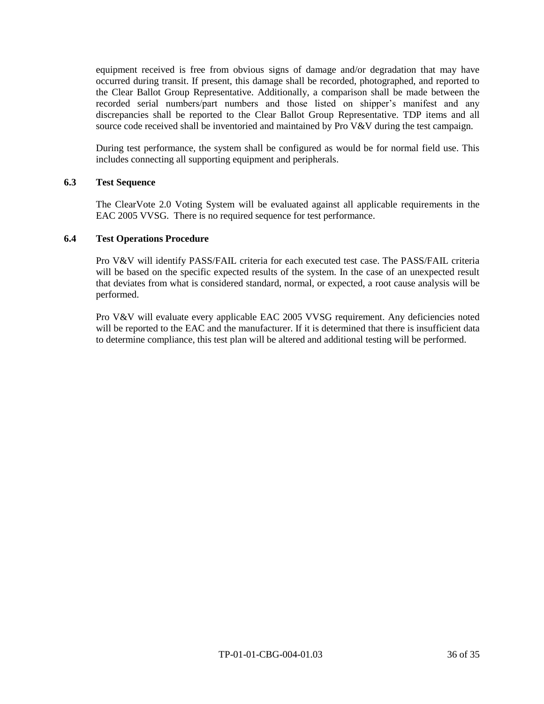equipment received is free from obvious signs of damage and/or degradation that may have occurred during transit. If present, this damage shall be recorded, photographed, and reported to the Clear Ballot Group Representative. Additionally, a comparison shall be made between the recorded serial numbers/part numbers and those listed on shipper's manifest and any discrepancies shall be reported to the Clear Ballot Group Representative. TDP items and all source code received shall be inventoried and maintained by Pro V&V during the test campaign.

During test performance, the system shall be configured as would be for normal field use. This includes connecting all supporting equipment and peripherals.

## **6.3 Test Sequence**

The ClearVote 2.0 Voting System will be evaluated against all applicable requirements in the EAC 2005 VVSG. There is no required sequence for test performance.

## **6.4 Test Operations Procedure**

Pro V&V will identify PASS/FAIL criteria for each executed test case. The PASS/FAIL criteria will be based on the specific expected results of the system. In the case of an unexpected result that deviates from what is considered standard, normal, or expected, a root cause analysis will be performed.

Pro V&V will evaluate every applicable EAC 2005 VVSG requirement. Any deficiencies noted will be reported to the EAC and the manufacturer. If it is determined that there is insufficient data to determine compliance, this test plan will be altered and additional testing will be performed.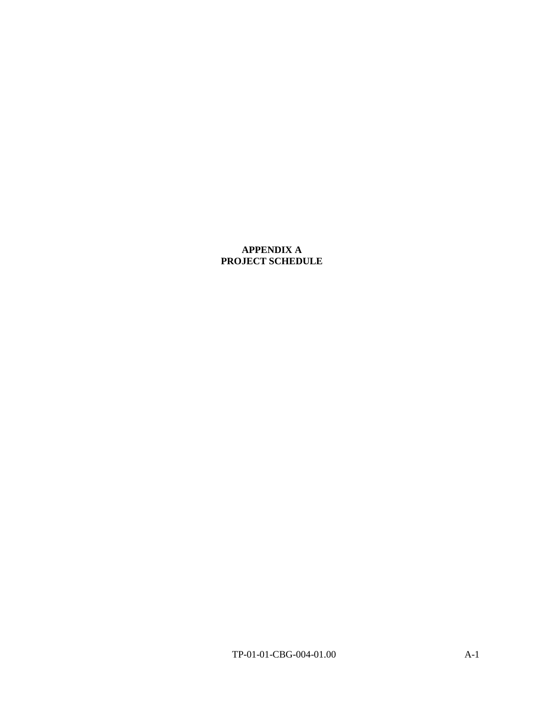## **APPENDIX A PROJECT SCHEDULE**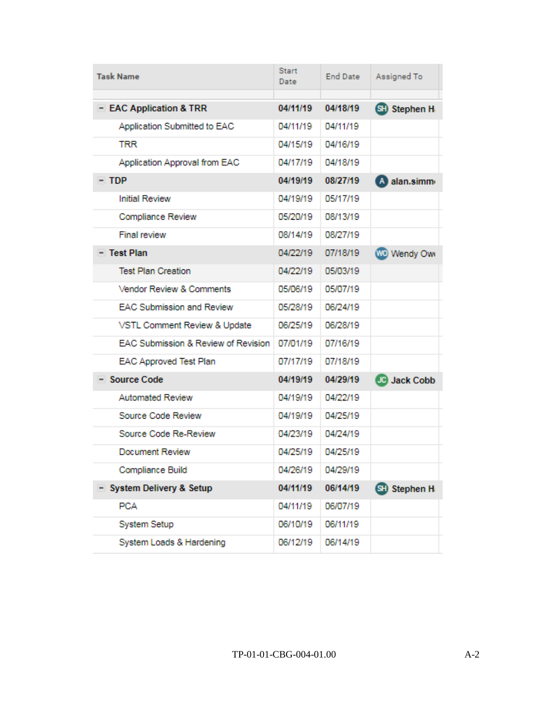| <b>Task Name</b>                    | <b>Start</b><br>Date | End Date | Assigned To         |
|-------------------------------------|----------------------|----------|---------------------|
|                                     |                      |          |                     |
| - EAC Application & TRR             | 04/11/19             | 04/18/19 | <b>SH</b> Stephen H |
| Application Submitted to EAC        | 04/11/19             | 04/11/19 |                     |
| <b>TRR</b>                          | 04/15/19             | 04/16/19 |                     |
| Application Approval from EAC       | 04/17/19             | 04/18/19 |                     |
| $- TDP$                             | 04/19/19             | 08/27/19 | A alan.simm         |
| <b>Initial Review</b>               | 04/19/19             | 05/17/19 |                     |
| Compliance Review                   | 05/20/19             | 08/13/19 |                     |
| <b>Final review</b>                 | 08/14/19             | 08/27/19 |                     |
| - Test Plan                         | 04/22/19             | 07/18/19 | <b>WO</b> Wendy Owi |
| <b>Test Plan Creation</b>           | 04/22/19             | 05/03/19 |                     |
| Vendor Review & Comments            | 05/06/19             | 05/07/19 |                     |
| <b>EAC Submission and Review</b>    | 05/28/19             | 06/24/19 |                     |
| VSTL Comment Review & Update        | 06/25/19             | 06/28/19 |                     |
| EAC Submission & Review of Revision | 07/01/19             | 07/16/19 |                     |
| <b>EAC Approved Test Plan</b>       | 07/17/19             | 07/18/19 |                     |
| - Source Code                       | 04/19/19             | 04/29/19 | <b>JC</b> Jack Cobb |
| <b>Automated Review</b>             | 04/19/19             | 04/22/19 |                     |
| Source Code Review                  | 04/19/19             | 04/25/19 |                     |
| Source Code Re-Review               | 04/23/19             | 04/24/19 |                     |
| Document Review                     | 04/25/19             | 04/25/19 |                     |
| Compliance Build                    | 04/26/19             | 04/29/19 |                     |
| System Delivery & Setup             | 04/11/19             | 06/14/19 | <b>SH</b> Stephen H |
| <b>PCA</b>                          | 04/11/19             | 06/07/19 |                     |
| System Setup                        | 06/10/19             | 06/11/19 |                     |
| System Loads & Hardening            | 06/12/19             | 06/14/19 |                     |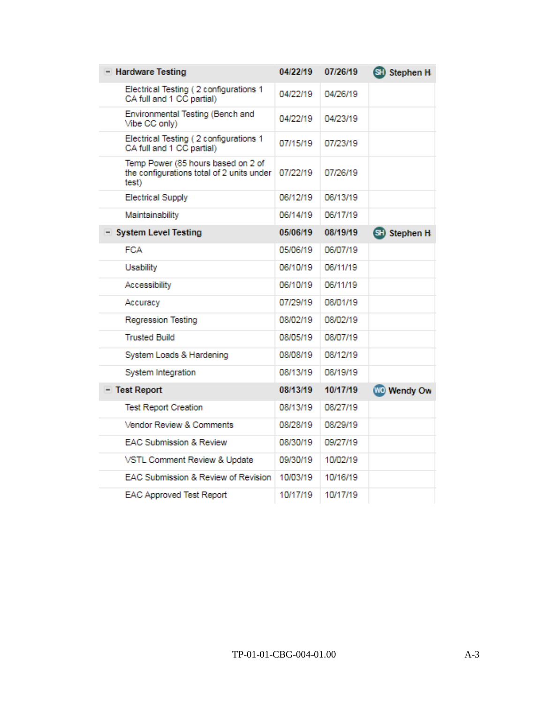| - Hardware Testing                                                                       | 04/22/19 | 07/26/19 | <b>SH</b> Stephen H |
|------------------------------------------------------------------------------------------|----------|----------|---------------------|
| Electrical Testing (2 configurations 1<br>CA full and 1 CC partial)                      | 04/22/19 | 04/26/19 |                     |
| Environmental Testing (Bench and<br>Vibe CC only)                                        | 04/22/19 | 04/23/19 |                     |
| Electrical Testing (2 configurations 1<br>CA full and 1 CC partial)                      | 07/15/19 | 07/23/19 |                     |
| Temp Power (85 hours based on 2 of<br>the configurations total of 2 units under<br>test) | 07/22/19 | 07/26/19 |                     |
| <b>Electrical Supply</b>                                                                 | 06/12/19 | 06/13/19 |                     |
| Maintainability                                                                          | 06/14/19 | 06/17/19 |                     |
| - System Level Testing                                                                   | 05/06/19 | 08/19/19 | SH Stephen H        |
| FCA                                                                                      | 05/06/19 | 06/07/19 |                     |
| <b>Usability</b>                                                                         | 06/10/19 | 06/11/19 |                     |
| Accessibility                                                                            | 06/10/19 | 06/11/19 |                     |
| Accuracy                                                                                 | 07/29/19 | 08/01/19 |                     |
| <b>Regression Testing</b>                                                                | 08/02/19 | 08/02/19 |                     |
| <b>Trusted Build</b>                                                                     | 08/05/19 | 08/07/19 |                     |
| System Loads & Hardening                                                                 | 08/08/19 | 08/12/19 |                     |
| System Integration                                                                       | 08/13/19 | 08/19/19 |                     |
| - Test Report                                                                            | 08/13/19 | 10/17/19 | <b>WO</b> Wendy Ow  |
| <b>Test Report Creation</b>                                                              | 08/13/19 | 08/27/19 |                     |
| Vendor Review & Comments                                                                 | 08/28/19 | 08/29/19 |                     |
| EAC Submission & Review                                                                  | 08/30/19 | 09/27/19 |                     |
| VSTL Comment Review & Update                                                             | 09/30/19 | 10/02/19 |                     |
| EAC Submission & Review of Revision                                                      | 10/03/19 | 10/16/19 |                     |
| <b>EAC Approved Test Report</b>                                                          | 10/17/19 | 10/17/19 |                     |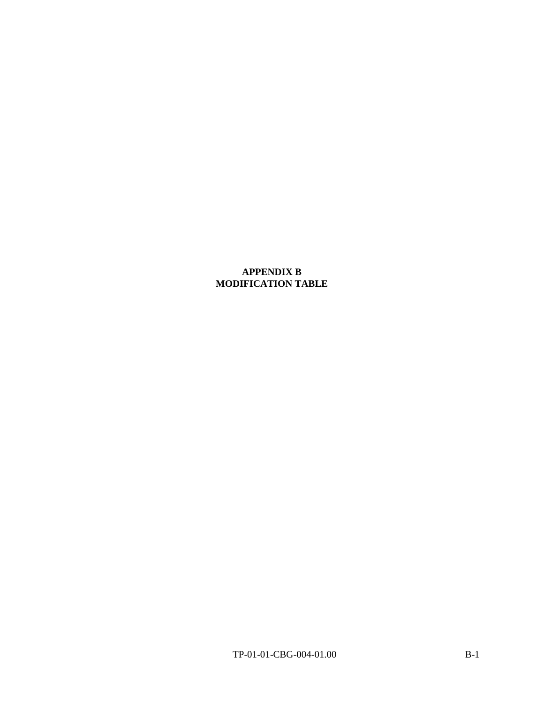## **APPENDIX B MODIFICATION TABLE**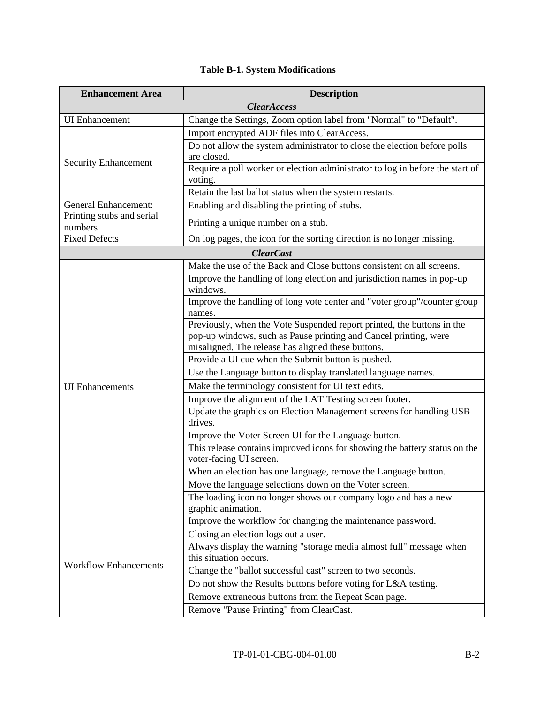| <b>Enhancement Area</b>                                  | <b>Description</b>                                                                                    |
|----------------------------------------------------------|-------------------------------------------------------------------------------------------------------|
|                                                          | <b>ClearAccess</b>                                                                                    |
| <b>UI</b> Enhancement                                    | Change the Settings, Zoom option label from "Normal" to "Default".                                    |
|                                                          | Import encrypted ADF files into ClearAccess.                                                          |
|                                                          | Do not allow the system administrator to close the election before polls                              |
| <b>Security Enhancement</b>                              | are closed.                                                                                           |
|                                                          | Require a poll worker or election administrator to log in before the start of                         |
|                                                          | voting.                                                                                               |
|                                                          | Retain the last ballot status when the system restarts.                                               |
| <b>General Enhancement:</b><br>Printing stubs and serial | Enabling and disabling the printing of stubs.                                                         |
| numbers                                                  | Printing a unique number on a stub.                                                                   |
| <b>Fixed Defects</b>                                     | On log pages, the icon for the sorting direction is no longer missing.                                |
|                                                          | <b>ClearCast</b>                                                                                      |
|                                                          | Make the use of the Back and Close buttons consistent on all screens.                                 |
|                                                          | Improve the handling of long election and jurisdiction names in pop-up                                |
|                                                          | windows.                                                                                              |
|                                                          | Improve the handling of long vote center and "voter group"/counter group<br>names.                    |
|                                                          | Previously, when the Vote Suspended report printed, the buttons in the                                |
|                                                          | pop-up windows, such as Pause printing and Cancel printing, were                                      |
|                                                          | misaligned. The release has aligned these buttons.                                                    |
|                                                          | Provide a UI cue when the Submit button is pushed.                                                    |
|                                                          | Use the Language button to display translated language names.                                         |
| <b>UI</b> Enhancements                                   | Make the terminology consistent for UI text edits.                                                    |
|                                                          | Improve the alignment of the LAT Testing screen footer.                                               |
|                                                          | Update the graphics on Election Management screens for handling USB                                   |
|                                                          | drives.                                                                                               |
|                                                          | Improve the Voter Screen UI for the Language button.                                                  |
|                                                          | This release contains improved icons for showing the battery status on the<br>voter-facing UI screen. |
|                                                          | When an election has one language, remove the Language button.                                        |
|                                                          | Move the language selections down on the Voter screen.                                                |
|                                                          | The loading icon no longer shows our company logo and has a new                                       |
|                                                          | graphic animation.                                                                                    |
|                                                          | Improve the workflow for changing the maintenance password.                                           |
|                                                          | Closing an election logs out a user.                                                                  |
|                                                          | Always display the warning "storage media almost full" message when                                   |
|                                                          | this situation occurs.                                                                                |
| <b>Workflow Enhancements</b>                             | Change the "ballot successful cast" screen to two seconds.                                            |
|                                                          | Do not show the Results buttons before voting for L&A testing.                                        |
|                                                          | Remove extraneous buttons from the Repeat Scan page.                                                  |
|                                                          | Remove "Pause Printing" from ClearCast.                                                               |

## **Table B-1. System Modifications**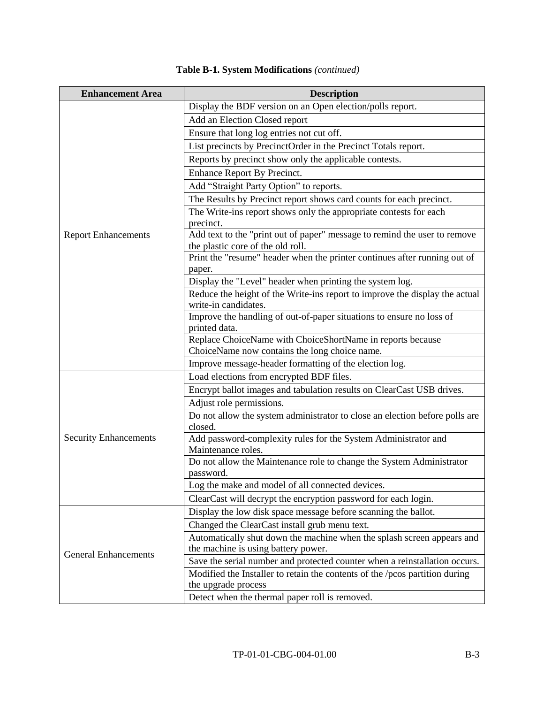| <b>Enhancement Area</b>      | <b>Description</b>                                                                                             |
|------------------------------|----------------------------------------------------------------------------------------------------------------|
|                              | Display the BDF version on an Open election/polls report.                                                      |
|                              | Add an Election Closed report                                                                                  |
|                              | Ensure that long log entries not cut off.                                                                      |
|                              | List precincts by PrecinctOrder in the Precinct Totals report.                                                 |
|                              | Reports by precinct show only the applicable contests.                                                         |
|                              | <b>Enhance Report By Precinct.</b>                                                                             |
|                              | Add "Straight Party Option" to reports.                                                                        |
|                              | The Results by Precinct report shows card counts for each precinct.                                            |
|                              | The Write-ins report shows only the appropriate contests for each                                              |
|                              | precinct.                                                                                                      |
| <b>Report Enhancements</b>   | Add text to the "print out of paper" message to remind the user to remove                                      |
|                              | the plastic core of the old roll.<br>Print the "resume" header when the printer continues after running out of |
|                              | paper.                                                                                                         |
|                              | Display the "Level" header when printing the system log.                                                       |
|                              | Reduce the height of the Write-ins report to improve the display the actual                                    |
|                              | write-in candidates.                                                                                           |
|                              | Improve the handling of out-of-paper situations to ensure no loss of                                           |
|                              | printed data.                                                                                                  |
|                              | Replace ChoiceName with ChoiceShortName in reports because                                                     |
|                              | ChoiceName now contains the long choice name.                                                                  |
|                              | Improve message-header formatting of the election log.                                                         |
|                              | Load elections from encrypted BDF files.                                                                       |
|                              | Encrypt ballot images and tabulation results on ClearCast USB drives.                                          |
|                              | Adjust role permissions.                                                                                       |
|                              | Do not allow the system administrator to close an election before polls are<br>closed.                         |
| <b>Security Enhancements</b> | Add password-complexity rules for the System Administrator and                                                 |
|                              | Maintenance roles.                                                                                             |
|                              | Do not allow the Maintenance role to change the System Administrator                                           |
|                              | password.                                                                                                      |
|                              | Log the make and model of all connected devices.                                                               |
|                              | ClearCast will decrypt the encryption password for each login.                                                 |
|                              | Display the low disk space message before scanning the ballot.                                                 |
|                              | Changed the ClearCast install grub menu text.                                                                  |
|                              | Automatically shut down the machine when the splash screen appears and                                         |
| <b>General Enhancements</b>  | the machine is using battery power.                                                                            |
|                              | Save the serial number and protected counter when a reinstallation occurs.                                     |
|                              | Modified the Installer to retain the contents of the /pcos partition during                                    |
|                              | the upgrade process<br>Detect when the thermal paper roll is removed.                                          |
|                              |                                                                                                                |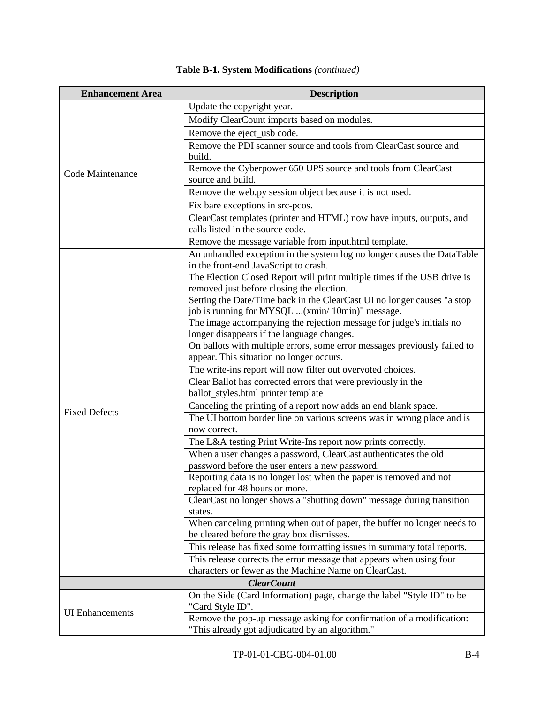| <b>Enhancement Area</b> | <b>Description</b>                                                                                   |
|-------------------------|------------------------------------------------------------------------------------------------------|
|                         | Update the copyright year.                                                                           |
|                         | Modify ClearCount imports based on modules.                                                          |
|                         | Remove the eject_usb code.                                                                           |
|                         | Remove the PDI scanner source and tools from ClearCast source and                                    |
|                         | build.                                                                                               |
|                         | Remove the Cyberpower 650 UPS source and tools from ClearCast                                        |
| Code Maintenance        | source and build.                                                                                    |
|                         | Remove the web.py session object because it is not used.                                             |
|                         | Fix bare exceptions in src-pcos.                                                                     |
|                         | ClearCast templates (printer and HTML) now have inputs, outputs, and                                 |
|                         | calls listed in the source code.                                                                     |
|                         | Remove the message variable from input.html template.                                                |
|                         | An unhandled exception in the system log no longer causes the DataTable                              |
|                         | in the front-end JavaScript to crash.                                                                |
|                         | The Election Closed Report will print multiple times if the USB drive is                             |
|                         | removed just before closing the election.                                                            |
|                         | Setting the Date/Time back in the ClearCast UI no longer causes "a stop                              |
|                         | job is running for MYSQL (xmin/ 10min)" message.                                                     |
|                         | The image accompanying the rejection message for judge's initials no                                 |
|                         | longer disappears if the language changes.                                                           |
|                         | On ballots with multiple errors, some error messages previously failed to                            |
|                         | appear. This situation no longer occurs.                                                             |
|                         | The write-ins report will now filter out overvoted choices.                                          |
|                         | Clear Ballot has corrected errors that were previously in the                                        |
|                         | ballot_styles.html printer template                                                                  |
| <b>Fixed Defects</b>    | Canceling the printing of a report now adds an end blank space.                                      |
|                         | The UI bottom border line on various screens was in wrong place and is                               |
|                         | now correct.                                                                                         |
|                         | The L&A testing Print Write-Ins report now prints correctly.                                         |
|                         | When a user changes a password, ClearCast authenticates the old                                      |
|                         | password before the user enters a new password.                                                      |
|                         | Reporting data is no longer lost when the paper is removed and not<br>replaced for 48 hours or more. |
|                         | ClearCast no longer shows a "shutting down" message during transition                                |
|                         | states.                                                                                              |
|                         | When canceling printing when out of paper, the buffer no longer needs to                             |
|                         | be cleared before the gray box dismisses.                                                            |
|                         | This release has fixed some formatting issues in summary total reports.                              |
|                         | This release corrects the error message that appears when using four                                 |
|                         | characters or fewer as the Machine Name on ClearCast.                                                |
| <b>ClearCount</b>       |                                                                                                      |
|                         | On the Side (Card Information) page, change the label "Style ID" to be                               |
|                         | "Card Style ID".                                                                                     |
| <b>UI</b> Enhancements  | Remove the pop-up message asking for confirmation of a modification:                                 |
|                         | "This already got adjudicated by an algorithm."                                                      |

## **Table B-1. System Modifications** *(continued)*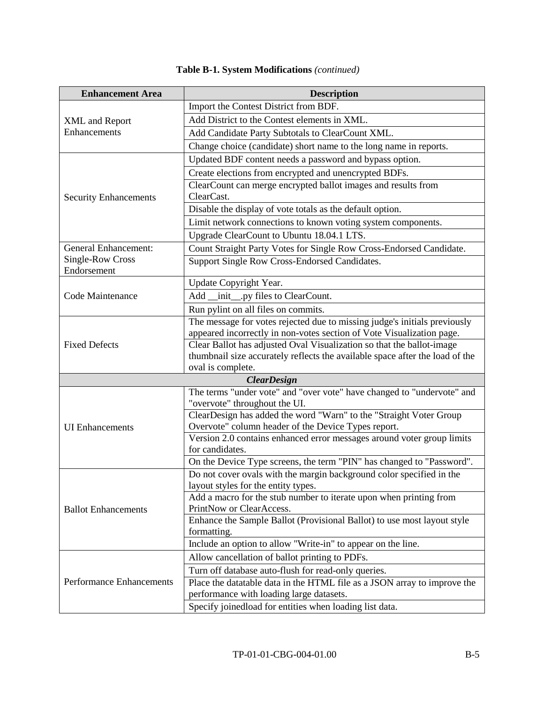| <b>Enhancement Area</b>               | <b>Description</b>                                                                                                                                 |
|---------------------------------------|----------------------------------------------------------------------------------------------------------------------------------------------------|
|                                       | Import the Contest District from BDF.                                                                                                              |
| <b>XML</b> and Report<br>Enhancements | Add District to the Contest elements in XML.                                                                                                       |
|                                       | Add Candidate Party Subtotals to ClearCount XML.                                                                                                   |
|                                       | Change choice (candidate) short name to the long name in reports.                                                                                  |
|                                       | Updated BDF content needs a password and bypass option.                                                                                            |
|                                       | Create elections from encrypted and unencrypted BDFs.                                                                                              |
|                                       | ClearCount can merge encrypted ballot images and results from                                                                                      |
| <b>Security Enhancements</b>          | ClearCast.                                                                                                                                         |
|                                       | Disable the display of vote totals as the default option.                                                                                          |
|                                       | Limit network connections to known voting system components.                                                                                       |
|                                       | Upgrade ClearCount to Ubuntu 18.04.1 LTS.                                                                                                          |
| <b>General Enhancement:</b>           | Count Straight Party Votes for Single Row Cross-Endorsed Candidate.                                                                                |
| Single-Row Cross                      | Support Single Row Cross-Endorsed Candidates.                                                                                                      |
| Endorsement                           |                                                                                                                                                    |
|                                       | Update Copyright Year.                                                                                                                             |
| Code Maintenance                      | Add _init_.py files to ClearCount.                                                                                                                 |
|                                       | Run pylint on all files on commits.                                                                                                                |
|                                       | The message for votes rejected due to missing judge's initials previously<br>appeared incorrectly in non-votes section of Vote Visualization page. |
| <b>Fixed Defects</b>                  | Clear Ballot has adjusted Oval Visualization so that the ballot-image                                                                              |
|                                       | thumbnail size accurately reflects the available space after the load of the                                                                       |
|                                       | oval is complete.                                                                                                                                  |
|                                       | <b>ClearDesign</b>                                                                                                                                 |
|                                       | The terms "under vote" and "over vote" have changed to "undervote" and                                                                             |
|                                       | "overvote" throughout the UI.                                                                                                                      |
|                                       | ClearDesign has added the word "Warn" to the "Straight Voter Group                                                                                 |
| <b>UI</b> Enhancements                | Overvote" column header of the Device Types report.                                                                                                |
|                                       | Version 2.0 contains enhanced error messages around voter group limits<br>for candidates.                                                          |
|                                       | On the Device Type screens, the term "PIN" has changed to "Password".                                                                              |
|                                       | Do not cover ovals with the margin background color specified in the                                                                               |
|                                       | layout styles for the entity types.                                                                                                                |
|                                       | Add a macro for the stub number to iterate upon when printing from                                                                                 |
| <b>Ballot Enhancements</b>            | PrintNow or ClearAccess.                                                                                                                           |
|                                       | Enhance the Sample Ballot (Provisional Ballot) to use most layout style                                                                            |
|                                       | formatting.                                                                                                                                        |
|                                       | Include an option to allow "Write-in" to appear on the line.                                                                                       |
|                                       | Allow cancellation of ballot printing to PDFs.                                                                                                     |
|                                       | Turn off database auto-flush for read-only queries.                                                                                                |
| <b>Performance Enhancements</b>       | Place the datatable data in the HTML file as a JSON array to improve the                                                                           |
|                                       | performance with loading large datasets.                                                                                                           |
|                                       | Specify joinedload for entities when loading list data.                                                                                            |

## **Table B-1. System Modifications** *(continued)*